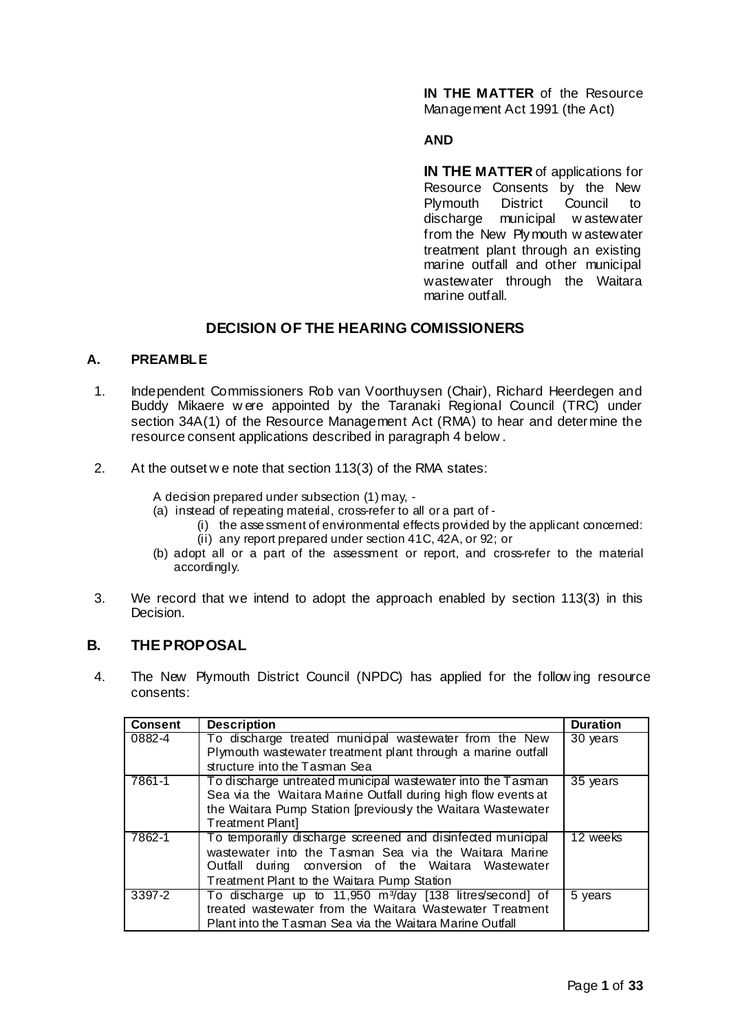**IN THE MATTER** of the Resource Management Act 1991 (the Act)

## **AND**

**IN THE MATTER** of applications for Resource Consents by the New Plymouth District Council to discharge municipal w astewater from the New Plymouth w astewater treatment plant through an existing marine outfall and other municipal wastewater through the Waitara marine outfall.

# **DECISION OF THE HEARING COMISSIONERS**

# **A. PREAMBLE**

- 1. Independent Commissioners Rob van Voorthuysen (Chair), Richard Heerdegen and Buddy Mikaere w ere appointed by the Taranaki Regional Council (TRC) under section 34A(1) of the Resource Management Act (RMA) to hear and determine the resource consent applications described in paragraph 4 below .
- 2. At the outset w e note that section 113(3) of the RMA states:

A decision prepared under subsection (1) may, -

- (a) instead of repeating material, cross-refer to all or a part of
	- $(i)$  the asse ssment of environmental effects provided by the applicant concerned: (ii) any report prepared under section 41C, 42A, or 92; or
- (b) adopt all or a part of the assessment or report, and cross-refer to the material accordingly.
- 3. We record that we intend to adopt the approach enabled by section 113(3) in this Decision.

# **B. THE PROPOSAL**

4. The New Plymouth District Council (NPDC) has applied for the follow ing resource consents:

| <b>Consent</b> | <b>Description</b>                                                                                                                                                                                                         | <b>Duration</b>       |
|----------------|----------------------------------------------------------------------------------------------------------------------------------------------------------------------------------------------------------------------------|-----------------------|
| 0882-4         | To discharge treated municipal wastewater from the New<br>Plymouth wastewater treatment plant through a marine outfall                                                                                                     | 30 years              |
|                | structure into the Tasman Sea                                                                                                                                                                                              |                       |
| 7861-1         | To discharge untreated municipal wastewater into the Tasman<br>Sea via the Waitara Marine Outfall during high flow events at<br>the Waitara Pump Station [previously the Waitara Wastewater<br>Treatment Plantl            | $\overline{35}$ years |
| 7862-1         | To temporarily discharge screened and disinfected municipal<br>wastewater into the Tasman Sea via the Waitara Marine<br>Outfall during conversion of the Waitara Wastewater<br>Treatment Plant to the Waitara Pump Station | 12 weeks              |
| 3397-2         | To discharge up to 11,950 m <sup>3</sup> /day [138 litres/second] of<br>treated wastewater from the Waitara Wastewater Treatment<br>Plant into the Tasman Sea via the Waitara Marine Outfall                               | 5 years               |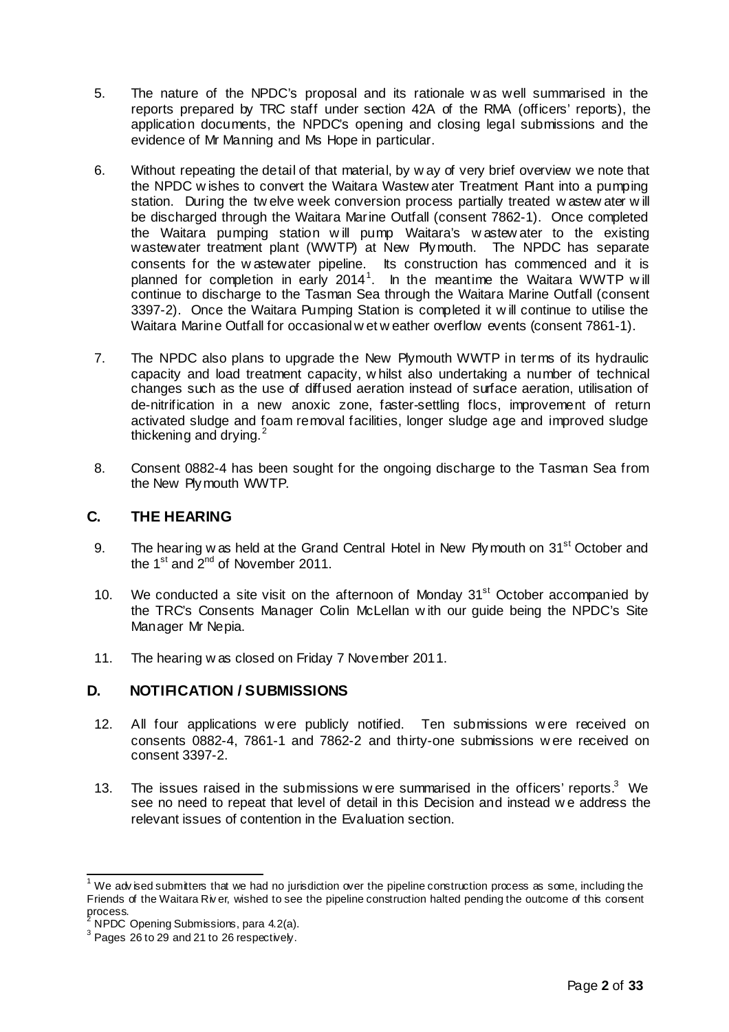- 5. The nature of the NPDC's proposal and its rationale w as well summarised in the reports prepared by TRC staff under section 42A of the RMA (officers' reports), the application documents, the NPDC's opening and closing legal submissions and the evidence of Mr Manning and Ms Hope in particular.
- 6. Without repeating the detail of that material, by w ay of very brief overview we note that the NPDC w ishes to convert the Waitara Wastew ater Treatment Plant into a pumping station. During the tw elve week conversion process partially treated w astew ater w ill be discharged through the Waitara Marine Outfall (consent 7862-1). Once completed the Waitara pumping station w ill pump Waitara's w astew ater to the existing wastewater treatment plant (WWTP) at New Plymouth. The NPDC has separate consents for the w astewater pipeline. Its construction has commenced and it is planned for completion in early 2014<sup>1</sup>. In the meantime the Waitara WWTP will continue to discharge to the Tasman Sea through the Waitara Marine Outfall (consent 3397-2). Once the Waitara Pumping Station is completed it w ill continue to utilise the Waitara Marine Outfall for occasional w et w eather overflow events (consent 7861-1).
- 7. The NPDC also plans to upgrade the New Plymouth WWTP in terms of its hydraulic capacity and load treatment capacity, w hilst also undertaking a number of technical changes such as the use of diffused aeration instead of surface aeration, utilisation of de-nitrification in a new anoxic zone, faster-settling flocs, improvement of return activated sludge and foam removal facilities, longer sludge age and improved sludge thickening and drying. $2$
- 8. Consent 0882-4 has been sought for the ongoing discharge to the Tasman Sea from the New Plymouth WWTP.

# **C. THE HEARING**

- 9. The hearing w as held at the Grand Central Hotel in New Plymouth on 31<sup>st</sup> October and the  $1^{\text{st}}$  and  $2^{\text{nd}}$  of November 2011.
- 10. We conducted a site visit on the afternoon of Monday  $31<sup>st</sup>$  October accompanied by the TRC's Consents Manager Colin McLellan w ith our guide being the NPDC's Site Manager Mr Nepia.
- 11. The hearing w as closed on Friday 7 November 2011.

# **D. NOTIFICATION / SUBMISSIONS**

- 12. All four applications w ere publicly notified. Ten submissions w ere received on consents 0882-4, 7861-1 and 7862-2 and thirty-one submissions w ere received on consent 3397-2.
- 13. The issues raised in the submissions w ere summarised in the officers' reports. $3$  We see no need to repeat that level of detail in this Decision and instead w e address the relevant issues of contention in the Evaluation section.

 $1$  We adv ised submitters that we had no jurisdiction over the pipeline construction process as some, including the Friends of the Waitara Riv er, wished to see the pipeline construction halted pending the outcome of this consent process.

 $^2$  NPDC Opening Submissions, para 4.2(a).

 $3$  Pages 26 to 29 and 21 to 26 respectively.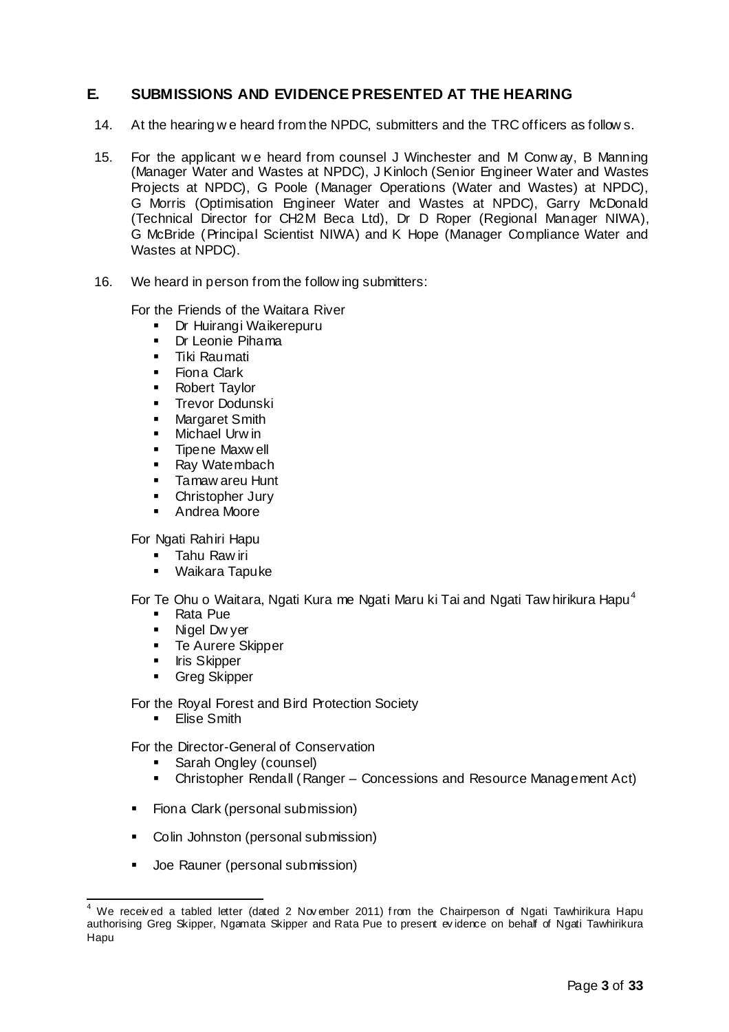# **E. SUBMISSIONS AND EVIDENCE PRESENTED AT THE HEARING**

- 14. At the hearing w e heard from the NPDC, submitters and the TRC officers as follow s.
- 15. For the applicant w e heard from counsel J Winchester and M Conw ay, B Manning (Manager Water and Wastes at NPDC), J Kinloch (Senior Engineer Water and Wastes Projects at NPDC), G Poole (Manager Operations (Water and Wastes) at NPDC), G Morris (Optimisation Engineer Water and Wastes at NPDC), Garry McDonald (Technical Director for CH2M Beca Ltd), Dr D Roper (Regional Manager NIWA), G McBride (Principal Scientist NIWA) and K Hope (Manager Compliance Water and Wastes at NPDC).
- 16. We heard in person from the follow ing submitters:

For the Friends of the Waitara River

- **Dr Huirangi Waikerepuru**
- Dr Leonie Pihama
- **Tiki Raumati**
- Fiona Clark
- **Robert Taylor**
- Trevor Dodunski
- **Nargaret Smith**
- **Nichael Urw in**
- **Tipene Maxwell**
- Ray Watembach
- **Tamaw areu Hunt**
- Christopher Jury
- **Andrea Moore**

For Ngati Rahiri Hapu

- **Tahu Raw iri**
- Waikara Tapuke

For Te Ohu o Waitara, Ngati Kura me Ngati Maru ki Tai and Ngati Taw hirikura Hapu<sup>4</sup>

- Rata Pue
- **Nigel Dw yer**
- **Te Aurere Skipper**
- **Iris Skipper**
- **Greg Skipper**

For the Royal Forest and Bird Protection Society

**Elise Smith** 

For the Director-General of Conservation

- Sarah Ongley (counsel)
- Christopher Rendall (Ranger Concessions and Resource Management Act)
- Fiona Clark (personal submission)
- Colin Johnston (personal submission)
- **Joe Rauner (personal submission)**

<sup>&</sup>lt;sup>4</sup> We received a tabled letter (dated 2 November 2011) from the Chairperson of Ngati Tawhirikura Hapu authorising Greg Skipper, Ngamata Skipper and Rata Pue to present ev idence on behalf of Ngati Tawhirikura Hapu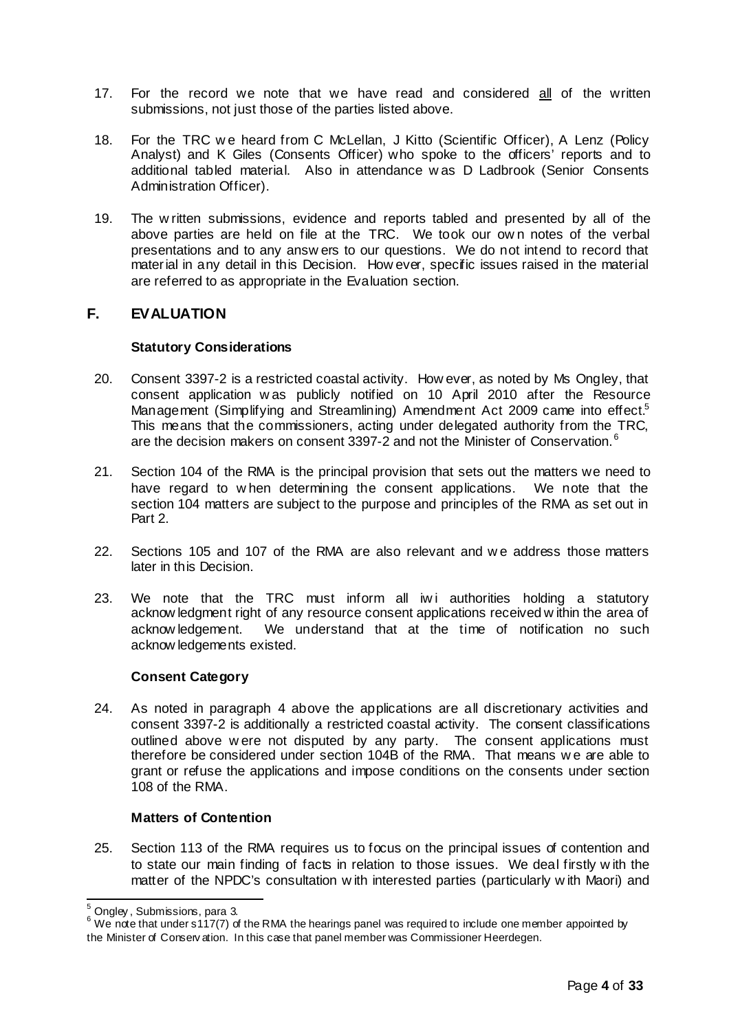- 17. For the record we note that we have read and considered all of the written submissions, not just those of the parties listed above.
- 18. For the TRC we heard from C McLellan, J Kitto (Scientific Officer), A Lenz (Policy Analyst) and K Giles (Consents Officer) who spoke to the officers' reports and to additional tabled material. Also in attendance w as D Ladbrook (Senior Consents Administration Officer).
- 19. The w ritten submissions, evidence and reports tabled and presented by all of the above parties are held on file at the TRC. We took our ow n notes of the verbal presentations and to any answ ers to our questions. We do not intend to record that material in any detail in this Decision. How ever, specific issues raised in the material are referred to as appropriate in the Evaluation section.

# **F. EVALUATION**

# **Statutory Considerations**

- 20. Consent 3397-2 is a restricted coastal activity. How ever, as noted by Ms Ongley, that consent application w as publicly notified on 10 April 2010 after the Resource Management (Simplifying and Streamlining) Amendment Act 2009 came into effect.<sup>5</sup> This means that the commissioners, acting under delegated authority from the TRC, are the decision makers on consent 3397-2 and not the Minister of Conservation.<sup>6</sup>
- 21. Section 104 of the RMA is the principal provision that sets out the matters we need to have regard to w hen determining the consent applications. We note that the section 104 matters are subject to the purpose and principles of the RMA as set out in Part 2.
- 22. Sections 105 and 107 of the RMA are also relevant and w e address those matters later in this Decision.
- 23. We note that the TRC must inform all iwi authorities holding a statutory acknow ledgment right of any resource consent applications received w ithin the area of acknow ledgement. We understand that at the time of notification no such acknow ledgements existed.

## **Consent Category**

24. As noted in paragraph 4 above the applications are all discretionary activities and consent 3397-2 is additionally a restricted coastal activity. The consent classifications outlined above w ere not disputed by any party. The consent applications must therefore be considered under section 104B of the RMA. That means w e are able to grant or refuse the applications and impose conditions on the consents under section 108 of the RMA.

## **Matters of Contention**

25. Section 113 of the RMA requires us to focus on the principal issues of contention and to state our main finding of facts in relation to those issues. We deal firstly w ith the matter of the NPDC's consultation w ith interested parties (particularly w ith Maori) and

 $5$  Ongley, Submissions, para 3.

<sup>&</sup>lt;sup>6</sup> We note that under s117(7) of the RMA the hearings panel was required to include one member appointed by the Minister of Conserv ation. In this case that panel member was Commissioner Heerdegen.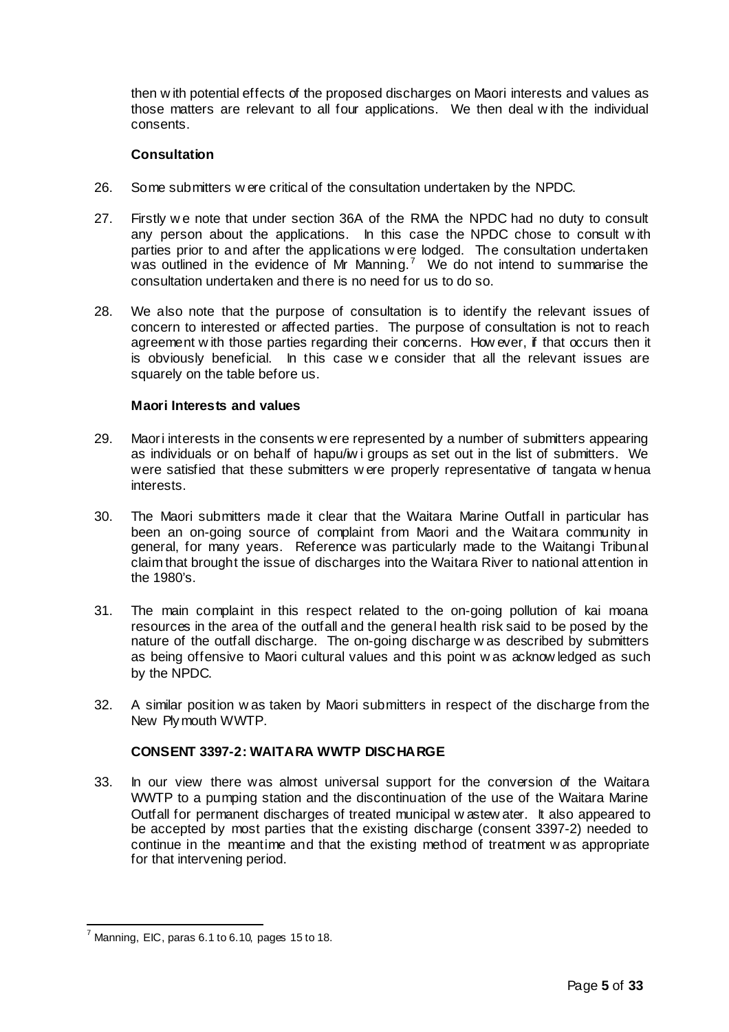then w ith potential effects of the proposed discharges on Maori interests and values as those matters are relevant to all four applications. We then deal w ith the individual consents.

# **Consultation**

- 26. Some submitters w ere critical of the consultation undertaken by the NPDC.
- 27. Firstly w e note that under section 36A of the RMA the NPDC had no duty to consult any person about the applications. In this case the NPDC chose to consult w ith parties prior to and after the applications w ere lodged. The consultation undertaken was outlined in the evidence of Mr Manning.<sup>7</sup> We do not intend to summarise the consultation undertaken and there is no need for us to do so.
- 28. We also note that the purpose of consultation is to identify the relevant issues of concern to interested or affected parties. The purpose of consultation is not to reach agreement w ith those parties regarding their concerns. How ever, if that occurs then it is obviously beneficial. In this case we consider that all the relevant issues are squarely on the table before us.

# **Maori Interests and values**

- 29. Maori interests in the consents w ere represented by a number of submitters appearing as individuals or on behalf of hapu/iw i groups as set out in the list of submitters. We were satisfied that these submitters w ere properly representative of tangata w henua interests.
- 30. The Maori submitters made it clear that the Waitara Marine Outfall in particular has been an on-going source of complaint from Maori and the Waitara community in general, for many years. Reference was particularly made to the Waitangi Tribunal claim that brought the issue of discharges into the Waitara River to national attention in the 1980's.
- 31. The main complaint in this respect related to the on-going pollution of kai moana resources in the area of the outfall and the general health risk said to be posed by the nature of the outfall discharge. The on-going discharge w as described by submitters as being offensive to Maori cultural values and this point w as acknow ledged as such by the NPDC.
- 32. A similar position w as taken by Maori submitters in respect of the discharge from the New Plymouth WWTP.

# **CONSENT 3397-2: WAITARA WWTP DISCHARGE**

33. In our view there was almost universal support for the conversion of the Waitara WWTP to a pumping station and the discontinuation of the use of the Waitara Marine Outfall for permanent discharges of treated municipal w astew ater. It also appeared to be accepted by most parties that the existing discharge (consent 3397-2) needed to continue in the meantime and that the existing method of treatment w as appropriate for that intervening period.

 $^7$  Manning, EIC, paras 6.1 to 6.10, pages 15 to 18.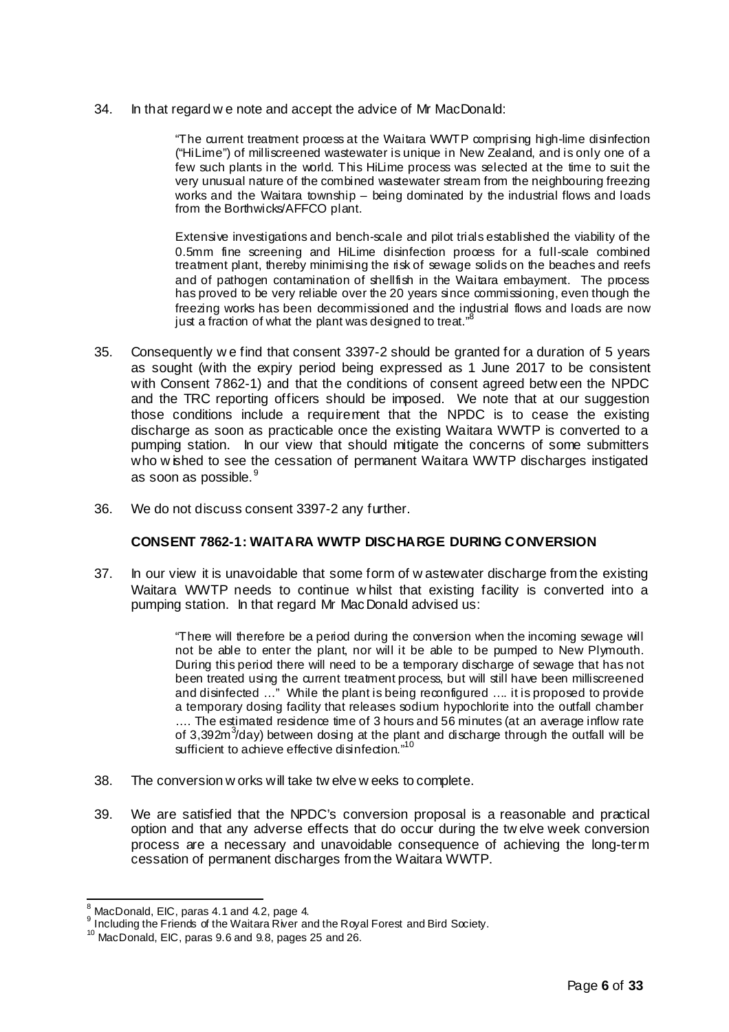34. In that regard w e note and accept the advice of Mr MacDonald:

"The current treatment process at the Waitara WWTP comprising high-lime disinfection ("HiLime") of milliscreened wastewater is unique in New Zealand, and is only one of a few such plants in the world. This HiLime process was selected at the time to suit the very unusual nature of the combined wastewater stream from the neighbouring freezing works and the Waitara township – being dominated by the industrial flows and loads from the Borthwicks/AFFCO plant.

Extensive investigations and bench-scale and pilot trials established the viability of the 0.5mm fine screening and HiLime disinfection process for a full-scale combined treatment plant, thereby minimising the risk of sewage solids on the beaches and reefs and of pathogen contamination of shellfish in the Waitara embayment. The process has proved to be very reliable over the 20 years since commissioning, even though the freezing works has been decommissioned and the industrial flows and loads are now just a fraction of what the plant was designed to treat."<sup>8</sup>

- 35. Consequently w e find that consent 3397-2 should be granted for a duration of 5 years as sought (with the expiry period being expressed as 1 June 2017 to be consistent with Consent 7862-1) and that the conditions of consent agreed betw een the NPDC and the TRC reporting officers should be imposed. We note that at our suggestion those conditions include a requirement that the NPDC is to cease the existing discharge as soon as practicable once the existing Waitara WWTP is converted to a pumping station. In our view that should mitigate the concerns of some submitters who w ished to see the cessation of permanent Waitara WWTP discharges instigated as soon as possible.<sup>9</sup>
- 36. We do not discuss consent 3397-2 any further.

# **CONSENT 7862-1: WAITARA WWTP DISCHARGE DURING CONVERSION**

37. In our view it is unavoidable that some form of w astewater discharge from the existing Waitara WWTP needs to continue w hilst that existing facility is converted into a pumping station. In that regard Mr MacDonald advised us:

> "There will therefore be a period during the conversion when the incoming sewage will not be able to enter the plant, nor will it be able to be pumped to New Plymouth. During this period there will need to be a temporary discharge of sewage that has not been treated using the current treatment process, but will still have been milliscreened and disinfected …" While the plant is being reconfigured …. it is proposed to provide a temporary dosing facility that releases sodium hypochlorite into the outfall chamber …. The estimated residence time of 3 hours and 56 minutes (at an average inflow rate of 3,392m<sup>3</sup>/day) between dosing at the plant and discharge through the outfall will be sufficient to achieve effective disinfection."<sup>10</sup>

- 38. The conversion w orks will take tw elve w eeks to complete.
- 39. We are satisfied that the NPDC's conversion proposal is a reasonable and practical option and that any adverse effects that do occur during the tw elve week conversion process are a necessary and unavoidable consequence of achieving the long-term cessation of permanent discharges from the Waitara WWTP.

 $^8$  MacDonald, EIC, paras 4.1 and 4.2, page 4.

<sup>9</sup> Including the Friends of the Waitara River and the Royal Forest and Bird Society.

<sup>&</sup>lt;sup>10</sup> MacDonald, EIC, paras 9.6 and 9.8, pages 25 and 26.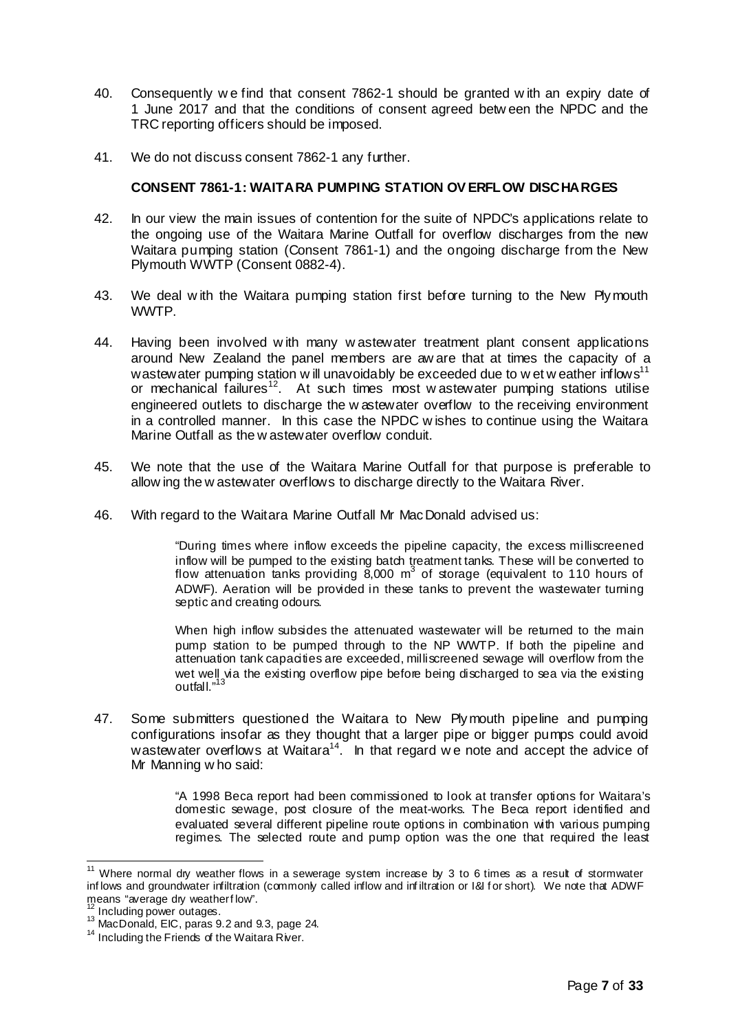- 40. Consequently w e find that consent 7862-1 should be granted w ith an expiry date of 1 June 2017 and that the conditions of consent agreed betw een the NPDC and the TRC reporting officers should be imposed.
- 41. We do not discuss consent 7862-1 any further.

# **CONSENT 7861-1: WAITARA PUMPING STATION OV ERFLOW DISCHARGES**

- 42. In our view the main issues of contention for the suite of NPDC's applications relate to the ongoing use of the Waitara Marine Outfall for overflow discharges from the new Waitara pumping station (Consent 7861-1) and the ongoing discharge from the New Plymouth WWTP (Consent 0882-4).
- 43. We deal w ith the Waitara pumping station first before turning to the New Plymouth WWTP.
- 44. Having been involved w ith many w astewater treatment plant consent applications around New Zealand the panel members are aw are that at times the capacity of a wastewater pumping station w ill unavoidably be exceeded due to wet w eather inflows<sup>11</sup> or mechanical failures<sup>12</sup>. At such times most w astewater pumping stations utilise engineered outlets to discharge the w astewater overflow to the receiving environment in a controlled manner. In this case the NPDC w ishes to continue using the Waitara Marine Outfall as the w astewater overflow conduit.
- 45. We note that the use of the Waitara Marine Outfall for that purpose is preferable to allow ing the w astewater overflows to discharge directly to the Waitara River.
- 46. With regard to the Waitara Marine Outfall Mr MacDonald advised us:

"During times where inflow exceeds the pipeline capacity, the excess milliscreened inflow will be pumped to the existing batch treatment tanks. These will be converted to flow attenuation tanks providing  $8,000$  m<sup>3</sup> of storage (equivalent to 110 hours of ADWF). Aeration will be provided in these tanks to prevent the wastewater turning septic and creating odours.

When high inflow subsides the attenuated wastewater will be returned to the main pump station to be pumped through to the NP WWTP. If both the pipeline and attenuation tank capacities are exceeded, milliscreened sewage will overflow from the wet well via the existing overflow pipe before being discharged to sea via the existing outfall."<sup>13</sup>

47. Some submitters questioned the Waitara to New Plymouth pipeline and pumping configurations insofar as they thought that a larger pipe or bigger pumps could avoid wastewater overflows at Waitara<sup>14</sup>. In that regard we note and accept the advice of Mr Manning w ho said:

> "A 1998 Beca report had been commissioned to look at transfer options for Waitara's domestic sewage, post closure of the meat-works. The Beca report identified and evaluated several different pipeline route options in combination with various pumping regimes. The selected route and pump option was the one that required the least

 $11$  Where normal dry weather flows in a sewerage system increase by 3 to 6 times as a result of stormwater inf lows and groundwater infiltration (commonly called inflow and infiltration or I&I for short). We note that ADWF means "average dry weatherflow".

Including power outages.

<sup>&</sup>lt;sup>13</sup> MacDonald, EIC, paras 9.2 and 9.3, page 24.

 $14$  Including the Friends of the Waitara River.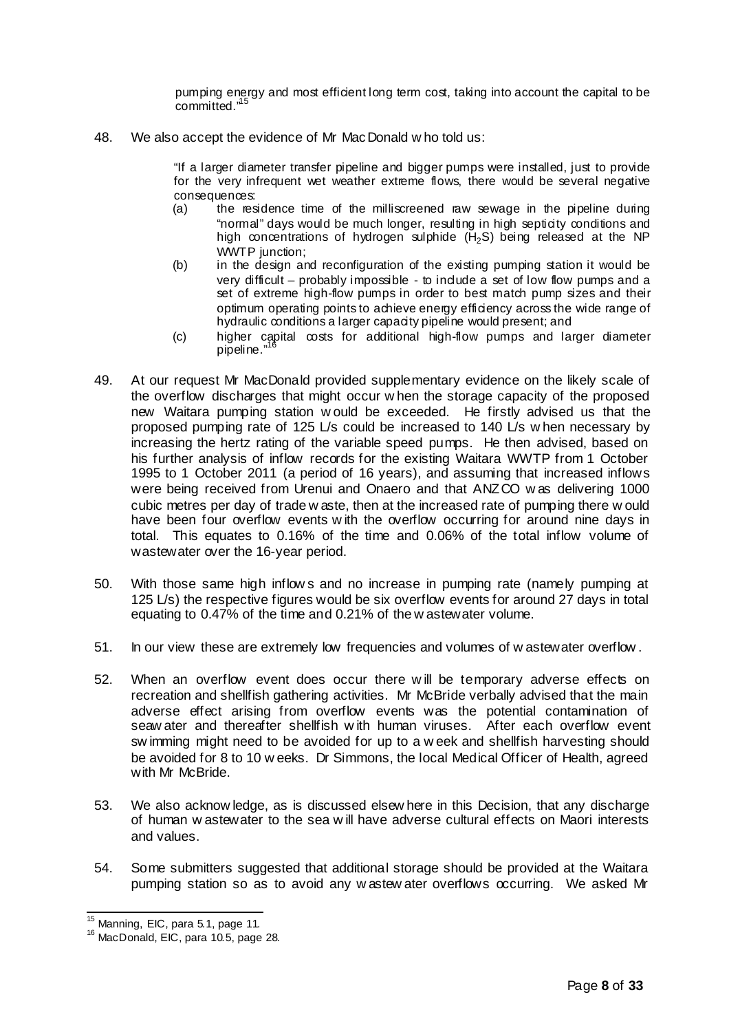pumping energy and most efficient long term cost, taking into account the capital to be committed."<sup>15</sup>

48. We also accept the evidence of Mr MacDonald w ho told us:

"If a larger diameter transfer pipeline and bigger pumps were installed, just to provide for the very infrequent wet weather extreme flows, there would be several negative consequences:

- (a) the residence time of the milliscreened raw sewage in the pipeline during "normal" days would be much longer, resulting in high septicity conditions and high concentrations of hydrogen sulphide  $(H_2S)$  being released at the NP WWTP junction:
- (b) in the design and reconfiguration of the existing pumping station it would be very difficult – probably impossible - to indude a set of low flow pumps and a set of extreme high-flow pumps in order to best match pump sizes and their optimum operating points to achieve energy efficiency across the wide range of hydraulic conditions a larger capacity pipeline would present; and
- (c) higher capital costs for additional high-flow pumps and larger diameter pipeline."<sup>16</sup>
- 49. At our request Mr MacDonald provided supplementary evidence on the likely scale of the overflow discharges that might occur w hen the storage capacity of the proposed new Waitara pumping station w ould be exceeded. He firstly advised us that the proposed pumping rate of 125 L/s could be increased to 140 L/s w hen necessary by increasing the hertz rating of the variable speed pumps. He then advised, based on his further analysis of inflow records for the existing Waitara WWTP from 1 October 1995 to 1 October 2011 (a period of 16 years), and assuming that increased inflows were being received from Urenui and Onaero and that ANZCO w as delivering 1000 cubic metres per day of trade w aste, then at the increased rate of pumping there w ould have been four overflow events w ith the overflow occurring for around nine days in total. This equates to 0.16% of the time and 0.06% of the total inflow volume of wastewater over the 16-year period.
- 50. With those same high inflow s and no increase in pumping rate (namely pumping at 125 L/s) the respective figures would be six overflow events for around 27 days in total equating to 0.47% of the time and 0.21% of the w astewater volume.
- 51. In our view these are extremely low frequencies and volumes of w astewater overflow .
- 52. When an overflow event does occur there w ill be temporary adverse effects on recreation and shellfish gathering activities. Mr McBride verbally advised that the main adverse effect arising from overflow events was the potential contamination of seaw ater and thereafter shellfish w ith human viruses. After each overflow event sw imming might need to be avoided for up to a w eek and shellfish harvesting should be avoided for 8 to 10 w eeks. Dr Simmons, the local Medical Officer of Health, agreed with Mr McBride.
- 53. We also acknow ledge, as is discussed elsew here in this Decision, that any discharge of human w astewater to the sea w ill have adverse cultural effects on Maori interests and values.
- 54. Some submitters suggested that additional storage should be provided at the Waitara pumping station so as to avoid any w astew ater overflows occurring. We asked Mr

 $15$  Manning, EIC, para 5.1, page 11.

<sup>&</sup>lt;sup>16</sup> MacDonald, EIC, para 10.5, page 28.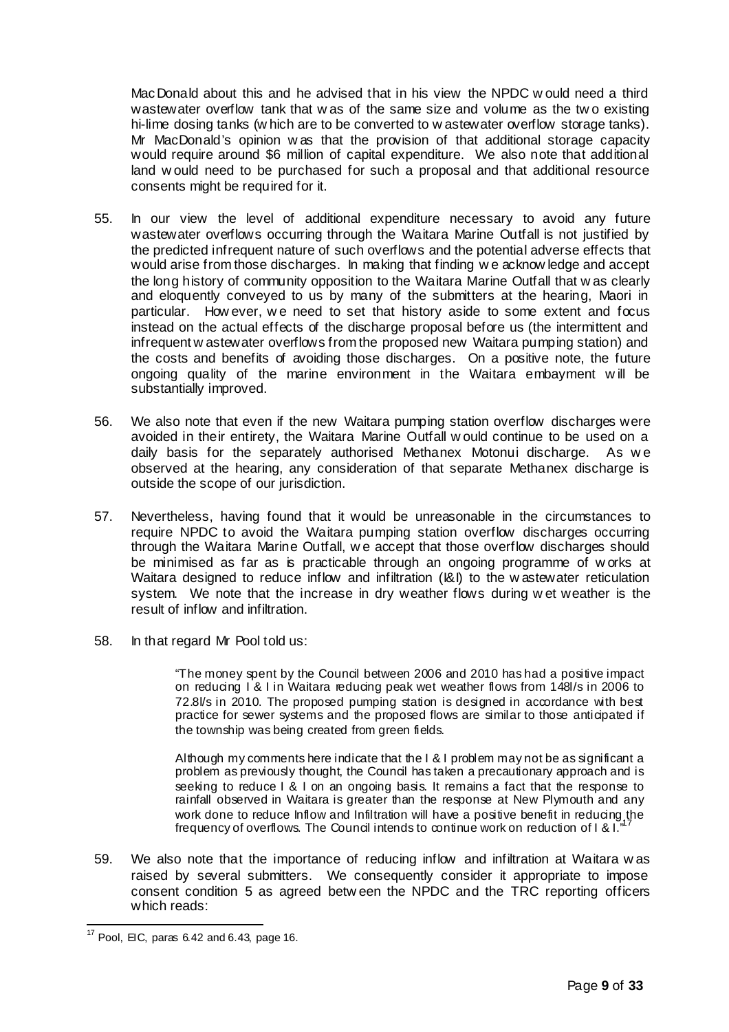MacDonald about this and he advised that in his view the NPDC w ould need a third wastewater overflow tank that w as of the same size and volume as the tw o existing hi-lime dosing tanks (w hich are to be converted to w astewater overflow storage tanks). Mr MacDonald's opinion w as that the provision of that additional storage capacity would require around \$6 million of capital expenditure. We also note that additional land w ould need to be purchased for such a proposal and that additional resource consents might be required for it.

- 55. In our view the level of additional expenditure necessary to avoid any future wastewater overflows occurring through the Waitara Marine Outfall is not justified by the predicted infrequent nature of such overflows and the potential adverse effects that would arise from those discharges. In making that finding w e acknow ledge and accept the long history of community opposition to the Waitara Marine Outfall that w as clearly and eloquently conveyed to us by many of the submitters at the hearing, Maori in particular. How ever, w e need to set that history aside to some extent and focus instead on the actual effects of the discharge proposal before us (the intermittent and infrequent w astewater overflows from the proposed new Waitara pumping station) and the costs and benefits of avoiding those discharges. On a positive note, the future ongoing quality of the marine environment in the Waitara embayment w ill be substantially improved.
- 56. We also note that even if the new Waitara pumping station overflow discharges were avoided in their entirety, the Waitara Marine Outfall w ould continue to be used on a daily basis for the separately authorised Methanex Motonui discharge. As w e observed at the hearing, any consideration of that separate Methanex discharge is outside the scope of our jurisdiction.
- 57. Nevertheless, having found that it would be unreasonable in the circumstances to require NPDC to avoid the Waitara pumping station overflow discharges occurring through the Waitara Marine Outfall, w e accept that those overflow discharges should be minimised as far as is practicable through an ongoing programme of w orks at Waitara designed to reduce inflow and infiltration (I&I) to the w astewater reticulation system. We note that the increase in dry weather flows during w et weather is the result of inflow and infiltration.
- 58. In that regard Mr Pool told us:

"The money spent by the Council between 2006 and 2010 has had a positive impact on reducing I & I in Waitara reducing peak wet weather flows from 148l/s in 2006 to 72.8l/s in 2010. The proposed pumping station is designed in accordance with best practice for sewer systems and the proposed flows are similar to those anticipated if the township was being created from green fields.

Although my comments here indicate that the I & I problem may not be as significant a problem as previously thought, the Council has taken a precautionary approach and is seeking to reduce I & I on an ongoing basis. It remains a fact that the response to rainfall observed in Waitara is greater than the response at New Plymouth and any work done to reduce Inflow and Infiltration will have a positive benefit in reducing the frequency of overflows. The Council intends to continue work on reduction of I & I."

59. We also note that the importance of reducing inflow and infiltration at Waitara w as raised by several submitters. We consequently consider it appropriate to impose consent condition 5 as agreed betw een the NPDC and the TRC reporting officers which reads:

 $17$  Pool, EIC, paras 6.42 and 6.43, page 16.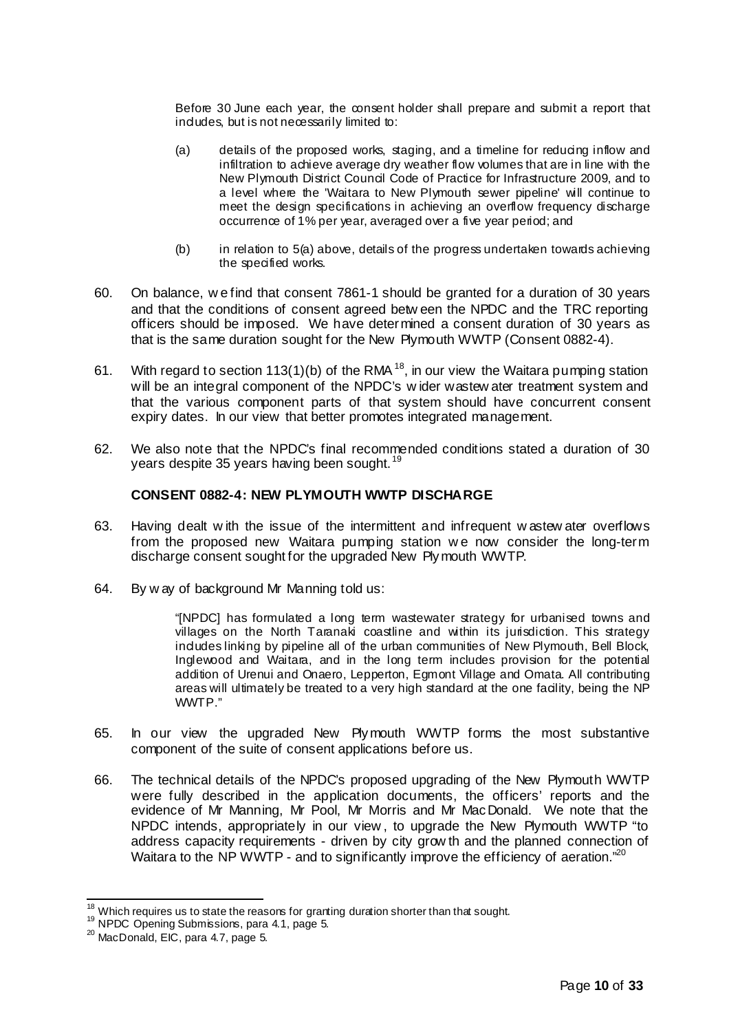Before 30 June each year, the consent holder shall prepare and submit a report that indudes, but is not necessarily limited to:

- (a) details of the proposed works, staging, and a timeline for reducing inflow and infiltration to achieve average dry weather flow volumes that are in line with the New Plymouth District Council Code of Practice for Infrastructure 2009, and to a level where the 'Waitara to New Plymouth sewer pipeline' will continue to meet the design specifications in achieving an overflow frequency discharge occurrence of 1% per year, averaged over a five year period; and
- (b) in relation to 5(a) above, details of the progress undertaken towards achieving the specified works.
- 60. On balance, w e find that consent 7861-1 should be granted for a duration of 30 years and that the conditions of consent agreed betw een the NPDC and the TRC reporting officers should be imposed. We have determined a consent duration of 30 years as that is the same duration sought for the New Plymouth WWTP (Consent 0882-4).
- 61. With regard to section 113(1)(b) of the RMA<sup>18</sup>, in our view the Waitara pumping station will be an integral component of the NPDC's wider wastew ater treatment system and that the various component parts of that system should have concurrent consent expiry dates. In our view that better promotes integrated management.
- 62. We also note that the NPDC's final recommended conditions stated a duration of 30 years despite 35 years having been sought.<sup>19</sup>

## **CONSENT 0882-4: NEW PLYMOUTH WWTP DISCHARGE**

- 63. Having dealt w ith the issue of the intermittent and infrequent w astew ater overflows from the proposed new Waitara pumping station we now consider the long-term discharge consent sought for the upgraded New Plymouth WWTP.
- 64. By w ay of background Mr Manning told us:

"[NPDC] has formulated a long term wastewater strategy for urbanised towns and villages on the North Taranaki coastline and within its jurisdiction. This strategy indudes linking by pipeline all of the urban communities of New Plymouth, Bell Block, Inglewood and Waitara, and in the long term includes provision for the potential addition of Urenui and Onaero, Lepperton, Egmont Village and Omata. All contributing areas will ultimately be treated to a very high standard at the one facility, being the NP WWTP."

- 65. In our view the upgraded New Plymouth WWTP forms the most substantive component of the suite of consent applications before us.
- 66. The technical details of the NPDC's proposed upgrading of the New Plymouth WWTP were fully described in the application documents, the officers' reports and the evidence of Mr Manning, Mr Pool, Mr Morris and Mr MacDonald. We note that the NPDC intends, appropriately in our view , to upgrade the New Plymouth WWTP "to address capacity requirements - driven by city grow th and the planned connection of Waitara to the NP WWTP - and to significantly improve the efficiency of aeration."<sup>20</sup>

 $18 \atop \circ \circ$  Which requires us to state the reasons for granting duration shorter than that sought.

<sup>19</sup> NPDC Opening Submissions, para 4.1, page 5.

 $20$  MacDonald, EIC, para 4.7, page 5.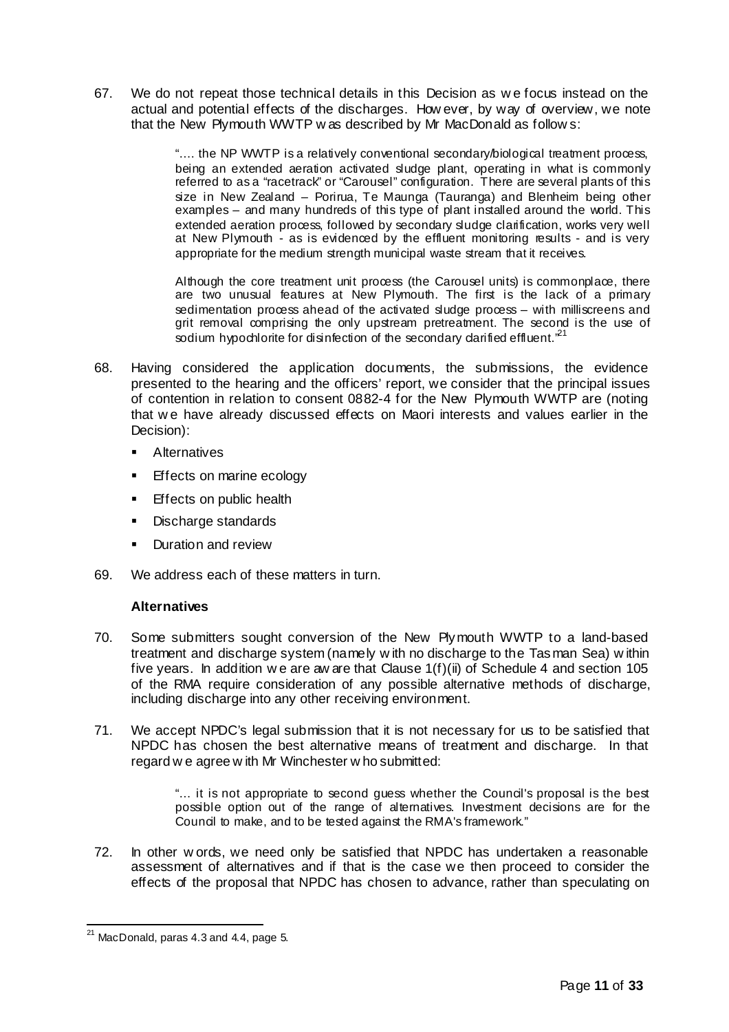67. We do not repeat those technical details in this Decision as w e focus instead on the actual and potential effects of the discharges. How ever, by way of overview, we note that the New Plymouth WWTP w as described by Mr MacDonald as follow s:

> ".... the NP WWTP is a relatively conventional secondary/biological treatment process, being an extended aeration activated sludge plant, operating in what is commonly referred to as a "racetrack" or "Carousel" configuration. There are several plants of this size in New Zealand – Porirua, Te Maunga (Tauranga) and Blenheim being other examples – and many hundreds of this type of plant installed around the world. This extended aeration process, followed by secondary sludge clarification, works very well at New Plymouth - as is evidenced by the effluent monitoring results - and is very appropriate for the medium strength municipal waste stream that it receives.

> Although the core treatment unit process (the Carousel units) is commonplace, there are two unusual features at New Plymouth. The first is the lack of a primary sedimentation process ahead of the activated sludge process – with milliscreens and grit removal comprising the only upstream pretreatment. The second is the use of sodium hypochlorite for disinfection of the secondary darified effluent.<sup>,21</sup>

- 68. Having considered the application documents, the submissions, the evidence presented to the hearing and the officers' report, we consider that the principal issues of contention in relation to consent 0882-4 for the New Plymouth WWTP are (noting that w e have already discussed effects on Maori interests and values earlier in the Decision):
	- **Alternatives**
	- **Effects on marine ecology**
	- Effects on public health
	- **Discharge standards**
	- **Duration and review**
- 69. We address each of these matters in turn.

# **Alternatives**

- 70. Some submitters sought conversion of the New Plymouth WWTP to a land-based treatment and discharge system (namely w ith no discharge to the Tasman Sea) w ithin five years. In addition we are aw are that Clause  $1(f)(ii)$  of Schedule 4 and section 105 of the RMA require consideration of any possible alternative methods of discharge, including discharge into any other receiving environment.
- 71. We accept NPDC's legal submission that it is not necessary for us to be satisfied that NPDC has chosen the best alternative means of treatment and discharge. In that regard w e agree w ith Mr Winchester w ho submitted:

"… it is not appropriate to second guess whether the Council's proposal is the best possible option out of the range of alternatives. Investment decisions are for the Council to make, and to be tested against the RMA's framework."

72. In other w ords, we need only be satisfied that NPDC has undertaken a reasonable assessment of alternatives and if that is the case we then proceed to consider the effects of the proposal that NPDC has chosen to advance, rather than speculating on

 $21$  MacDonald, paras 4.3 and 4.4, page 5.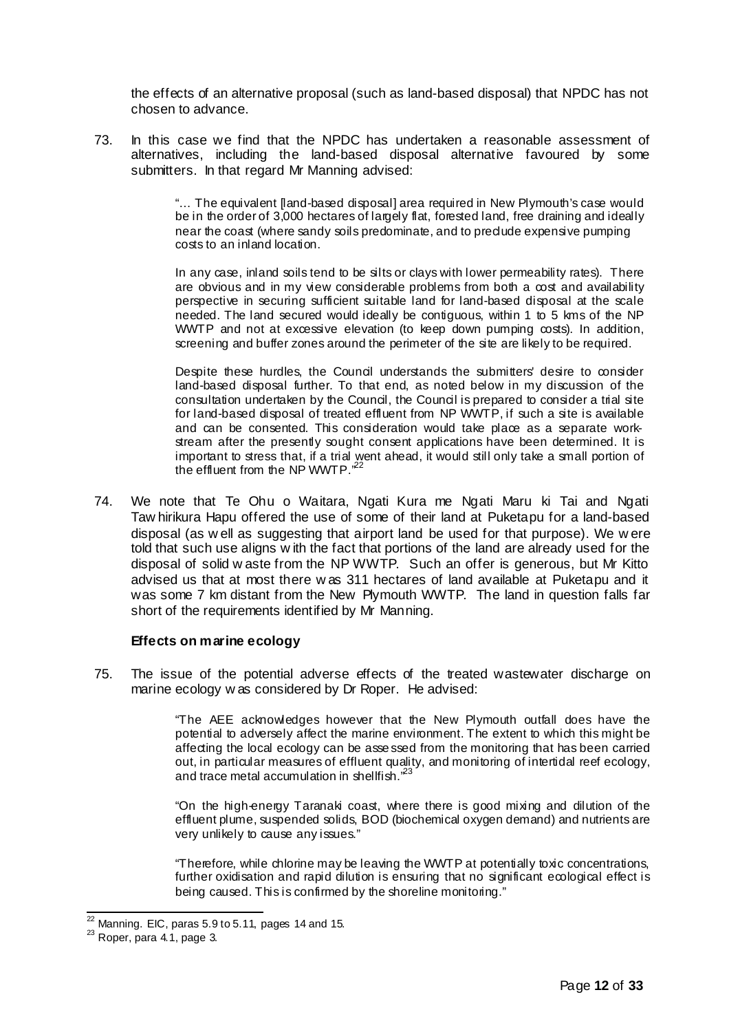the effects of an alternative proposal (such as land-based disposal) that NPDC has not chosen to advance.

73. In this case we find that the NPDC has undertaken a reasonable assessment of alternatives, including the land-based disposal alternative favoured by some submitters. In that regard Mr Manning advised:

> "… The equivalent [land-based disposal] area required in New Plymouth's case would be in the order of 3,000 hectares of largely flat, forested land, free draining and ideally near the coast (where sandy soils predominate, and to preclude expensive pumping costs to an inland location.

> In any case, inland soils tend to be silts or clays with lower permeability rates). There are obvious and in my view considerable problems from both a cost and availability perspective in securing sufficient suitable land for land-based disposal at the scale needed. The land secured would ideally be contiguous, within 1 to 5 kms of the NP WWTP and not at excessive elevation (to keep down pumping costs). In addition, screening and buffer zones around the perimeter of the site are likely to be required.

> Despite these hurdles, the Council understands the submitters' desire to consider land-based disposal further. To that end, as noted below in my discussion of the consultation undertaken by the Council, the Council is prepared to consider a trial site for land-based disposal of treated effluent from NP WWTP, if such a site is available and can be consented. This consideration would take place as a separate workstream after the presently sought consent applications have been determined. It is important to stress that, if a trial went ahead, it would still only take a small portion of the effluent from the NP WWTP.<sup>52</sup>

74. We note that Te Ohu o Waitara, Ngati Kura me Ngati Maru ki Tai and Ngati Taw hirikura Hapu offered the use of some of their land at Puketapu for a land-based disposal (as w ell as suggesting that airport land be used for that purpose). We w ere told that such use aligns w ith the fact that portions of the land are already used for the disposal of solid w aste from the NP WWTP. Such an offer is generous, but Mr Kitto advised us that at most there w as 311 hectares of land available at Puketapu and it was some 7 km distant from the New Plymouth WWTP. The land in question falls far short of the requirements identified by Mr Manning.

## **Effects on marine ecology**

75. The issue of the potential adverse effects of the treated wastewater discharge on marine ecology w as considered by Dr Roper. He advised:

> "The AEE acknowledges however that the New Plymouth outfall does have the potential to adversely affect the marine environment. The extent to which this might be affecting the local ecology can be asse ssed from the monitoring that has been carried out, in particular measures of effluent quality, and monitoring of intertidal reef ecology, and trace metal accumulation in shellfish.<sup>23</sup>

> "On the high-energy Taranaki coast, where there is good mixing and dilution of the effluent plume, suspended solids, BOD (biochemical oxygen demand) and nutrients are very unlikely to cause any issues."

> "Therefore, while chlorine may be leaving the WWTP at potentially toxic concentrations, further oxidisation and rapid dilution is ensuring that no significant ecological effect is being caused. This is confirmed by the shoreline monitoring."

 $^{22}$  Manning. EIC, paras 5.9 to 5.11, pages 14 and 15.

 $23$  Roper, para 4.1, page 3.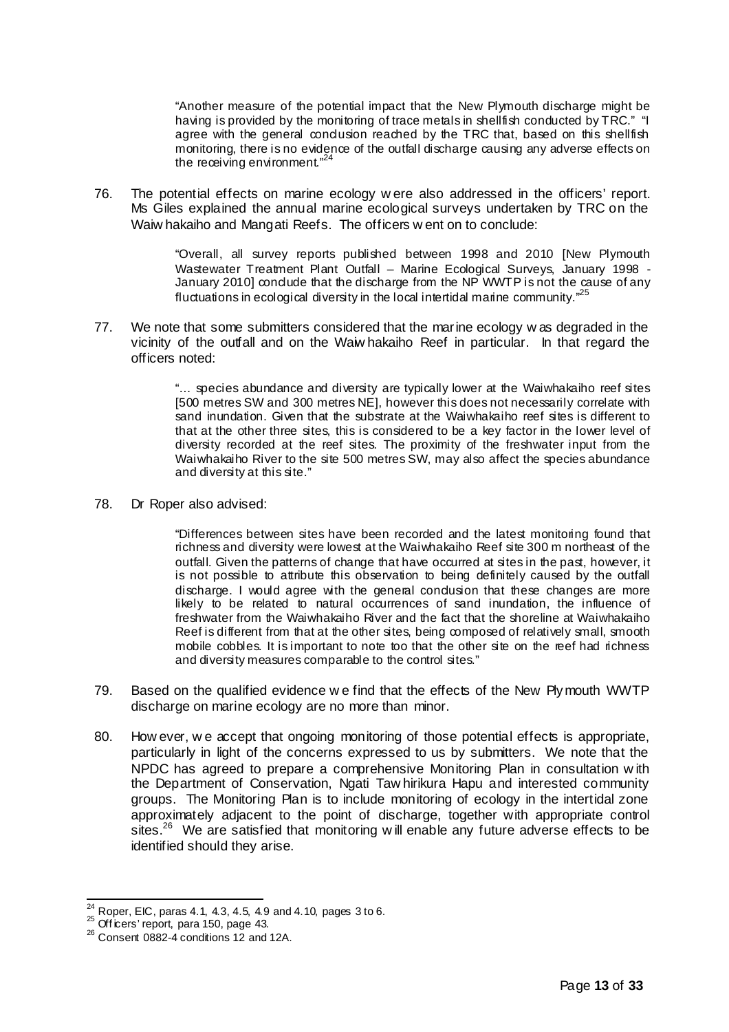"Another measure of the potential impact that the New Plymouth discharge might be having is provided by the monitoring of trace metals in shellfish conducted by TRC." "I agree with the general condusion reached by the TRC that, based on this shellfish monitoring, there is no evidence of the outfall discharge causing any adverse effects on the receiving environment. $"$ 

76. The potential effects on marine ecology w ere also addressed in the officers' report. Ms Giles explained the annual marine ecological surveys undertaken by TRC on the Waiw hakaiho and Mangati Reefs. The officers w ent on to conclude:

> "Overall, all survey reports published between 1998 and 2010 [New Plymouth Wastewater Treatment Plant Outfall – Marine Ecological Surveys, January 1998 - January 2010] condude that the discharge from the NP WWTP is not the cause of any fluctuations in ecological diversity in the local intertidal marine community."<sup>25</sup>

77. We note that some submitters considered that the marine ecology w as degraded in the vicinity of the outfall and on the Waiw hakaiho Reef in particular. In that regard the officers noted:

> "… species abundance and diversity are typically lower at the Waiwhakaiho reef sites [500 metres SW and 300 metres NE], however this does not necessarily correlate with sand inundation. Given that the substrate at the Waiwhakaiho reef sites is different to that at the other three sites, this is considered to be a key factor in the lower level of diversity recorded at the reef sites. The proximity of the freshwater input from the Waiwhakaiho River to the site 500 metres SW, may also affect the species abundance and diversity at this site."

78. Dr Roper also advised:

"Differences between sites have been recorded and the latest monitoring found that richness and diversity were lowest at the Waiwhakaiho Reef site 300 m northeast of the outfall. Given the patterns of change that have occurred at sites in the past, however, it is not possible to attribute this observation to being definitely caused by the outfall discharge. I would agree with the general condusion that these changes are more likely to be related to natural occurrences of sand inundation, the influence of freshwater from the Waiwhakaiho River and the fact that the shoreline at Waiwhakaiho Reef is different from that at the other sites, being composed of relatively small, smooth mobile cobbles. It is important to note too that the other site on the reef had richness and diversity measures comparable to the control sites."

- 79. Based on the qualified evidence w e find that the effects of the New Plymouth WWTP discharge on marine ecology are no more than minor.
- 80. How ever, w e accept that ongoing monitoring of those potential effects is appropriate, particularly in light of the concerns expressed to us by submitters. We note that the NPDC has agreed to prepare a comprehensive Monitoring Plan in consultation w ith the Department of Conservation, Ngati Taw hirikura Hapu and interested community groups. The Monitoring Plan is to include monitoring of ecology in the intertidal zone approximately adjacent to the point of discharge, together with appropriate control sites.<sup>26</sup> We are satisfied that monitoring w ill enable any future adverse effects to be identified should they arise.

 $^{24}_{\sim}$  Roper, EIC, paras 4.1, 4.3, 4.5, 4.9 and 4.10, pages 3 to 6.

 $^{25}$  Off icers' report, para 150, page 43.

 $26$  Consent 0882-4 conditions 12 and 12A.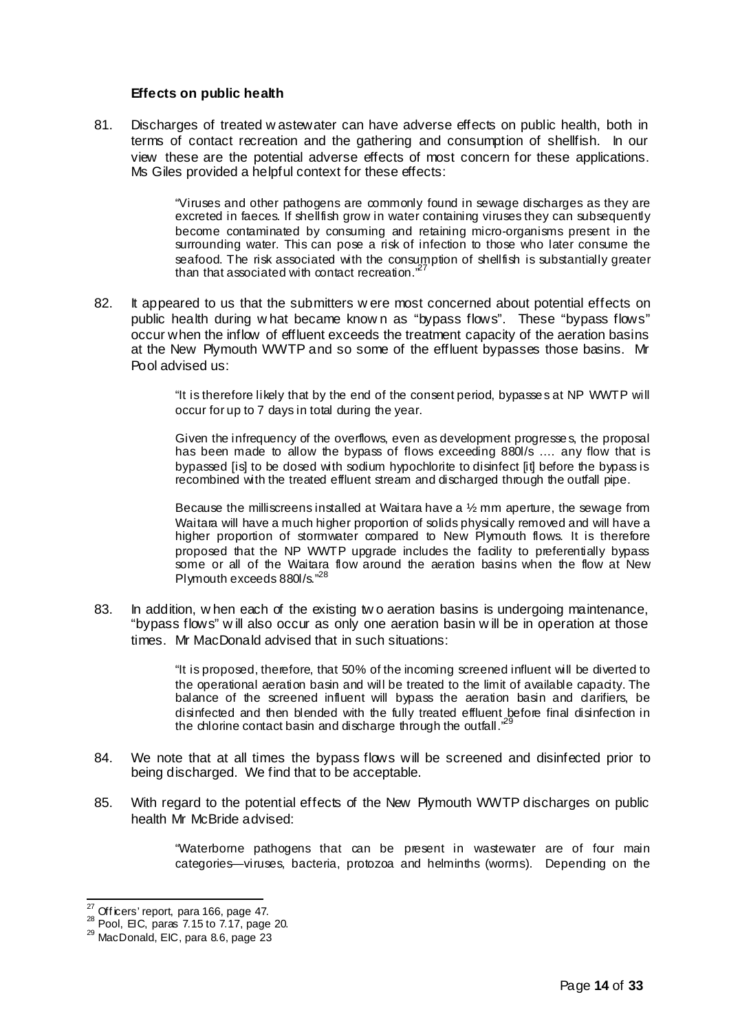## **Effects on public health**

81. Discharges of treated w astewater can have adverse effects on public health, both in terms of contact recreation and the gathering and consumption of shellfish. In our view these are the potential adverse effects of most concern for these applications. Ms Giles provided a helpful context for these effects:

> "Viruses and other pathogens are commonly found in sewage discharges as they are excreted in faeces. If shellfish grow in water containing viruses they can subsequently become contaminated by consuming and retaining micro-organisms present in the surrounding water. This can pose a risk of infection to those who later consume the seafood. The risk associated with the consumption of shellfish is substantially greater than that associated with contact recreation. $\mathbb{Z}^2$

82. It appeared to us that the submitters w ere most concerned about potential effects on public health during w hat became know n as "bypass flows". These "bypass flows" occur when the inflow of effluent exceeds the treatment capacity of the aeration basins at the New Plymouth WWTP and so some of the effluent bypasses those basins. Mr Pool advised us:

> "It is therefore likely that by the end of the consent period, bypasse s at NP WWTP will occur for up to 7 days in total during the year.

> Given the infrequency of the overflows, even as development progresse s, the proposal has been made to allow the bypass of flows exceeding 880l/s .... any flow that is bypassed [is] to be dosed with sodium hypochlorite to disinfect [it] before the bypass is recombined with the treated effluent stream and discharged through the outfall pipe.

> Because the milliscreens installed at Waitara have a ½ mm aperture, the sewage from Waitara will have a much higher proportion of solids physically removed and will have a higher proportion of stormwater compared to New Plymouth flows. It is therefore proposed that the NP WWTP upgrade includes the facility to preferentially bypass some or all of the Waitara flow around the aeration basins when the flow at New Plymouth exceeds 880l/s."<sup>2</sup>

83. In addition, w hen each of the existing two aeration basins is undergoing maintenance, "bypass flows" w ill also occur as only one aeration basin w ill be in operation at those times. Mr MacDonald advised that in such situations:

> "It is proposed, therefore, that 50% of the incoming screened influent will be diverted to the operational aeration basin and will be treated to the limit of available capacity. The balance of the screened influent will bypass the aeration basin and clarifiers, be disinfected and then blended with the fully treated effluent before final disinfection in the chlorine contact basin and discharge through the outfall. $^2$

- 84. We note that at all times the bypass flows will be screened and disinfected prior to being discharged. We find that to be acceptable.
- 85. With regard to the potential effects of the New Plymouth WWTP discharges on public health Mr McBride advised:

"Waterborne pathogens that can be present in wastewater are of four main categories—viruses, bacteria, protozoa and helminths (worms). Depending on the

 $27$  Officers' report, para 166, page 47.

 $^{28}$  Pool, EIC, paras 7.15 to 7.17, page 20.

<sup>&</sup>lt;sup>29</sup> MacDonald, EIC, para 8.6, page 23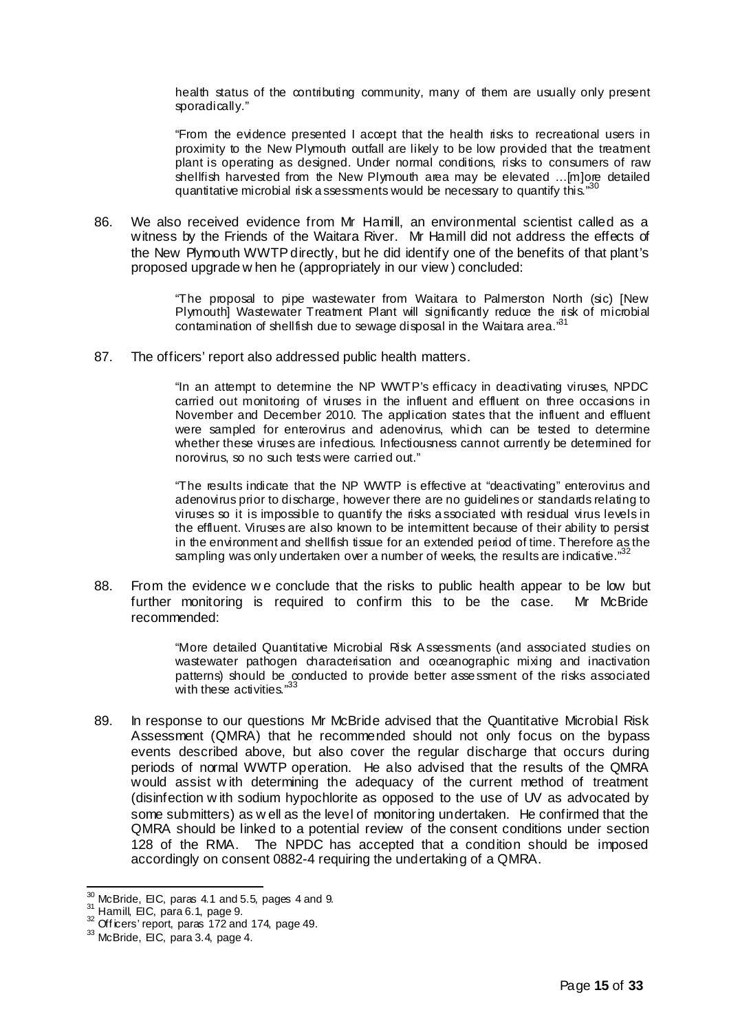health status of the contributing community, many of them are usually only present sporadically."

"From the evidence presented I accept that the health risks to recreational users in proximity to the New Plymouth outfall are likely to be low provided that the treatment plant is operating as designed. Under normal conditions, risks to consumers of raw shellfish harvested from the New Plymouth area may be elevated …[m]ore detailed quantitative microbial risk a ssessments would be necessary to quantify this."

86. We also received evidence from Mr Hamill, an environmental scientist called as a witness by the Friends of the Waitara River. Mr Hamill did not address the effects of the New Plymouth WWTP directly, but he did identify one of the benefits of that plant's proposed upgrade w hen he (appropriately in our view ) concluded:

> "The proposal to pipe wastewater from Waitara to Palmerston North (sic) [New Plymouth] Wastewater Treatment Plant will significantly reduce the risk of microbial contamination of shellfish due to sewage disposal in the Waitara area.<sup>31</sup>

87. The officers' report also addressed public health matters.

"In an attempt to determine the NP WWTP's efficacy in deactivating viruses, NPDC carried out monitoring of viruses in the influent and effluent on three occasions in November and December 2010. The application states that the influent and effluent were sampled for enterovirus and adenovirus, which can be tested to determine whether these viruses are infectious. Infectiousness cannot currently be determined for norovirus, so no such tests were carried out."

"The results indicate that the NP WWTP is effective at "deactivating" enterovirus and adenovirus prior to discharge, however there are no guidelines or standards relating to viruses so it is impossible to quantify the risks a ssociated with residual virus levels in the effluent. Viruses are also known to be intermittent because of their ability to persist in the environment and shellfish tissue for an extended period of time. Therefore as the sampling was only undertaken over a number of weeks, the results are indicative."<sup>32</sup>

88. From the evidence w e conclude that the risks to public health appear to be low but further monitoring is required to confirm this to be the case. Mr McBride recommended:

> "More detailed Quantitative Microbial Risk Assessments (and associated studies on wastewater pathogen characterisation and oceanographic mixing and inactivation patterns) should be conducted to provide better assessment of the risks associated with these activities.'

89. In response to our questions Mr McBride advised that the Quantitative Microbial Risk Assessment (QMRA) that he recommended should not only focus on the bypass events described above, but also cover the regular discharge that occurs during periods of normal WWTP operation. He also advised that the results of the QMRA would assist w ith determining the adequacy of the current method of treatment (disinfection w ith sodium hypochlorite as opposed to the use of UV as advocated by some submitters) as w ell as the level of monitoring undertaken. He confirmed that the QMRA should be linked to a potential review of the consent conditions under section 128 of the RMA. The NPDC has accepted that a condition should be imposed accordingly on consent 0882-4 requiring the undertaking of a QMRA.

 $\frac{30}{10}$  McBride, EIC, paras 4.1 and 5.5, pages 4 and 9.

<sup>31</sup> Hamill, EIC, para 6.1, page 9.

<sup>&</sup>lt;sup>32</sup> Officers' report, paras 172 and 174, page 49.

 $33$  McBride, EIC, para 3.4, page 4.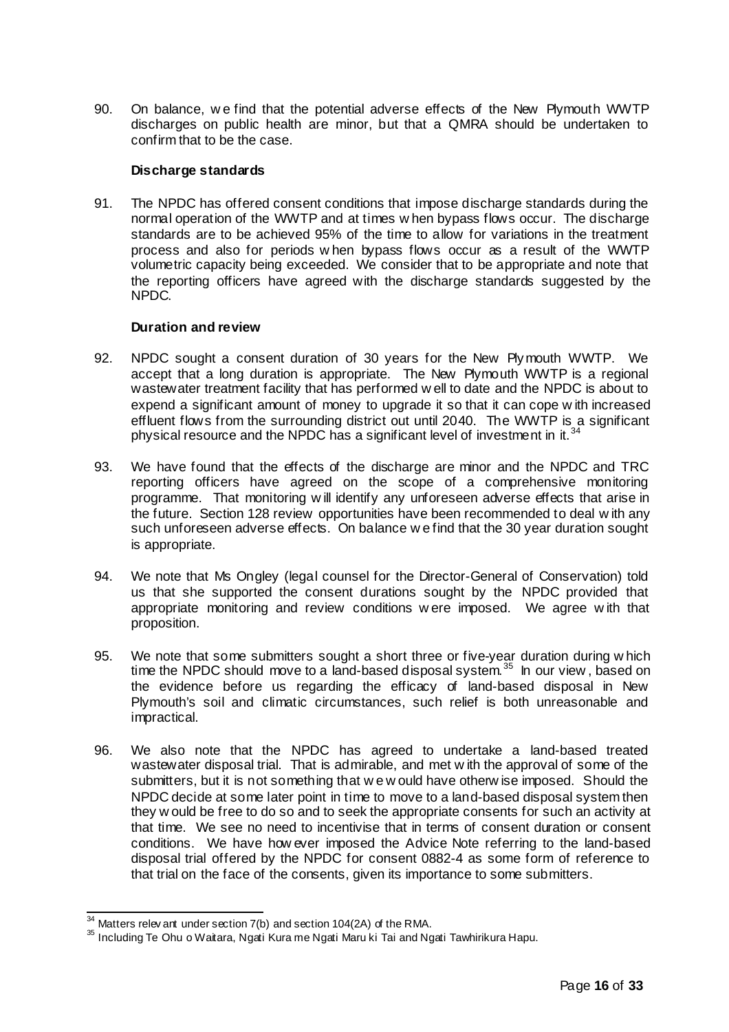90. On balance, w e find that the potential adverse effects of the New Plymouth WWTP discharges on public health are minor, but that a QMRA should be undertaken to confirm that to be the case.

# **Discharge standards**

91. The NPDC has offered consent conditions that impose discharge standards during the normal operation of the WWTP and at times w hen bypass flows occur. The discharge standards are to be achieved 95% of the time to allow for variations in the treatment process and also for periods w hen bypass flows occur as a result of the WWTP volumetric capacity being exceeded. We consider that to be appropriate and note that the reporting officers have agreed with the discharge standards suggested by the NPDC.

# **Duration and review**

- 92. NPDC sought a consent duration of 30 years for the New Plymouth WWTP. We accept that a long duration is appropriate. The New Plymouth WWTP is a regional wastewater treatment facility that has performed w ell to date and the NPDC is about to expend a significant amount of money to upgrade it so that it can cope w ith increased effluent flows from the surrounding district out until 2040. The WWTP is a significant physical resource and the NPDC has a significant level of investment in it.<sup>3</sup>
- 93. We have found that the effects of the discharge are minor and the NPDC and TRC reporting officers have agreed on the scope of a comprehensive monitoring programme. That monitoring w ill identify any unforeseen adverse effects that arise in the future. Section 128 review opportunities have been recommended to deal w ith any such unforeseen adverse effects. On balance w e find that the 30 year duration sought is appropriate.
- 94. We note that Ms Ongley (legal counsel for the Director-General of Conservation) told us that she supported the consent durations sought by the NPDC provided that appropriate monitoring and review conditions w ere imposed. We agree w ith that proposition.
- 95. We note that some submitters sought a short three or five-year duration during w hich time the NPDC should move to a land-based disposal system.<sup>35</sup> In our view, based on the evidence before us regarding the efficacy of land-based disposal in New Plymouth's soil and climatic circumstances, such relief is both unreasonable and impractical.
- 96. We also note that the NPDC has agreed to undertake a land-based treated wastewater disposal trial. That is admirable, and met w ith the approval of some of the submitters, but it is not something that w e w ould have otherw ise imposed. Should the NPDC decide at some later point in time to move to a land-based disposal system then they w ould be free to do so and to seek the appropriate consents for such an activity at that time. We see no need to incentivise that in terms of consent duration or consent conditions. We have how ever imposed the Advice Note referring to the land-based disposal trial offered by the NPDC for consent 0882-4 as some form of reference to that trial on the face of the consents, given its importance to some submitters.

 $34$  Matters relev ant under section  $7(b)$  and section 104(2A) of the RMA.

<sup>35</sup> Including Te Ohu o Waitara, Ngati Kura me Ngati Maru ki Tai and Ngati Tawhirikura Hapu.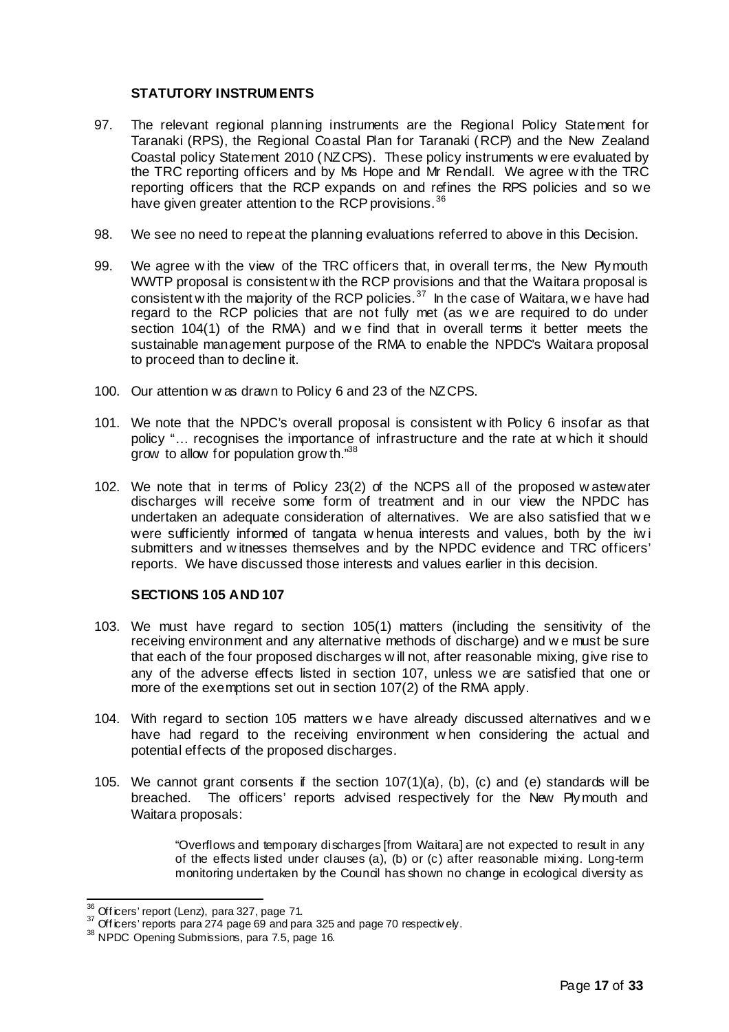# **STATUTORY INSTRUM ENTS**

- 97. The relevant regional planning instruments are the Regional Policy Statement for Taranaki (RPS), the Regional Coastal Plan for Taranaki (RCP) and the New Zealand Coastal policy Statement 2010 (NZCPS). These policy instruments w ere evaluated by the TRC reporting officers and by Ms Hope and Mr Rendall. We agree w ith the TRC reporting officers that the RCP expands on and refines the RPS policies and so we have given greater attention to the RCP provisions.<sup>36</sup>
- 98. We see no need to repeat the planning evaluations referred to above in this Decision.
- 99. We agree w ith the view of the TRC officers that, in overall terms, the New Plymouth WWTP proposal is consistent w ith the RCP provisions and that the Waitara proposal is consistent w ith the majority of the RCP policies.<sup>37</sup> In the case of Waitara, we have had regard to the RCP policies that are not fully met (as w e are required to do under section 104(1) of the RMA) and we find that in overall terms it better meets the sustainable management purpose of the RMA to enable the NPDC's Waitara proposal to proceed than to decline it.
- 100. Our attention w as drawn to Policy 6 and 23 of the NZCPS.
- 101. We note that the NPDC's overall proposal is consistent w ith Policy 6 insofar as that policy "… recognises the importance of infrastructure and the rate at w hich it should grow to allow for population grow th."38
- 102. We note that in terms of Policy 23(2) of the NCPS all of the proposed w astewater discharges will receive some form of treatment and in our view the NPDC has undertaken an adequate consideration of alternatives. We are also satisfied that w e were sufficiently informed of tangata w henua interests and values, both by the iw i submitters and w itnesses themselves and by the NPDC evidence and TRC officers' reports. We have discussed those interests and values earlier in this decision.

# **SECTIONS 105 AND 107**

- 103. We must have regard to section 105(1) matters (including the sensitivity of the receiving environment and any alternative methods of discharge) and w e must be sure that each of the four proposed discharges w ill not, after reasonable mixing, give rise to any of the adverse effects listed in section 107, unless we are satisfied that one or more of the exemptions set out in section 107(2) of the RMA apply.
- 104. With regard to section 105 matters w e have already discussed alternatives and w e have had regard to the receiving environment w hen considering the actual and potential effects of the proposed discharges.
- 105. We cannot grant consents if the section  $107(1)(a)$ , (b), (c) and (e) standards will be breached. The officers' reports advised respectively for the New Plymouth and Waitara proposals:

"Overflows and temporary discharges [from Waitara] are not expected to result in any of the effects listed under clauses (a), (b) or (c) after reasonable mixing. Long-term monitoring undertaken by the Council has shown no change in ecological diversity as

 $\frac{36}{2}$  Off icers' report (Lenz), para 327, page 71.

 $37$  Off icers' reports para 274 page 69 and para 325 and page 70 respectively.

<sup>&</sup>lt;sup>38</sup> NPDC Opening Submissions, para 7.5, page 16.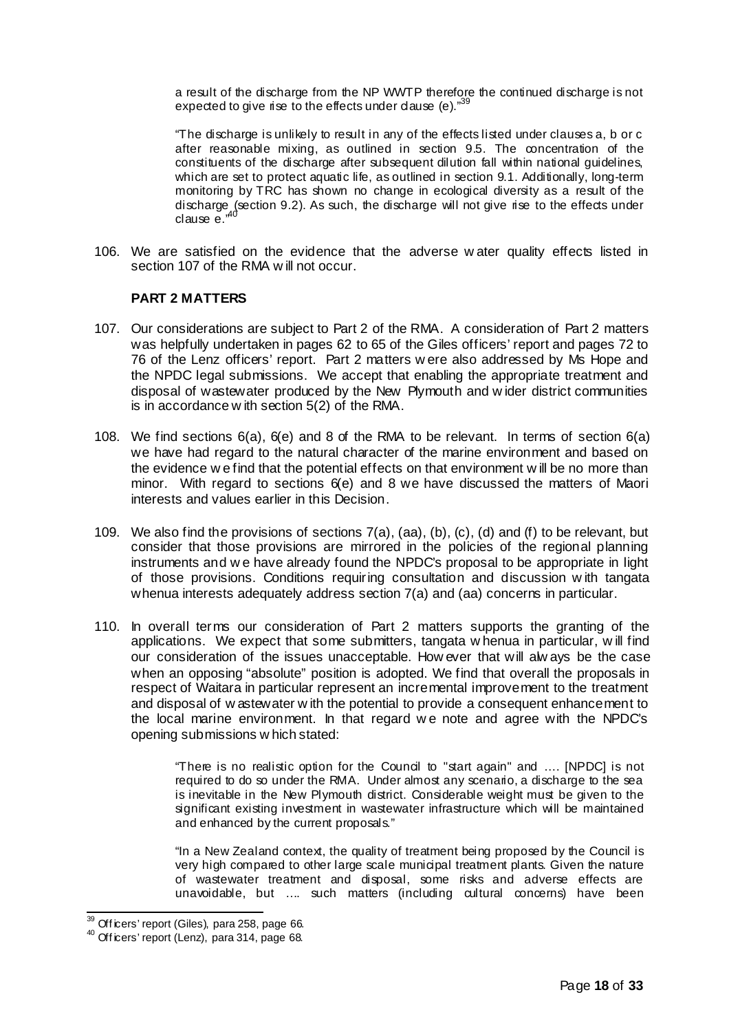a result of the discharge from the NP WWTP therefore the continued discharge is not expected to give rise to the effects under dause (e). $"$ <sup>3</sup>

"The discharge is unlikely to result in any of the effects listed under clauses a, b or c after reasonable mixing, as outlined in section 9.5. The concentration of the constituents of the discharge after subsequent dilution fall within national guidelines, which are set to protect aquatic life, as outlined in section 9.1. Additionally, long-term monitoring by TRC has shown no change in ecological diversity as a result of the discharge (section 9.2). As such, the discharge will not give rise to the effects under clause  $e^{,40}$ 

106. We are satisfied on the evidence that the adverse w ater quality effects listed in section 107 of the RMA w ill not occur.

## **PART 2 MATTERS**

- 107. Our considerations are subject to Part 2 of the RMA. A consideration of Part 2 matters was helpfully undertaken in pages 62 to 65 of the Giles officers' report and pages 72 to 76 of the Lenz officers' report. Part 2 matters w ere also addressed by Ms Hope and the NPDC legal submissions. We accept that enabling the appropriate treatment and disposal of wastewater produced by the New Plymouth and w ider district communities is in accordance w ith section 5(2) of the RMA.
- 108. We find sections 6(a), 6(e) and 8 of the RMA to be relevant. In terms of section 6(a) we have had regard to the natural character of the marine environment and based on the evidence w e find that the potential effects on that environment w ill be no more than minor. With regard to sections 6(e) and 8 we have discussed the matters of Maori interests and values earlier in this Decision.
- 109. We also find the provisions of sections  $7(a)$ ,  $(a)$ ,  $(b)$ ,  $(c)$ ,  $(d)$  and  $(f)$  to be relevant, but consider that those provisions are mirrored in the policies of the regional planning instruments and w e have already found the NPDC's proposal to be appropriate in light of those provisions. Conditions requiring consultation and discussion w ith tangata whenua interests adequately address section 7(a) and (aa) concerns in particular.
- 110. In overall terms our consideration of Part 2 matters supports the granting of the applications. We expect that some submitters, tangata w henua in particular, w ill find our consideration of the issues unacceptable. How ever that will alw ays be the case when an opposing "absolute" position is adopted. We find that overall the proposals in respect of Waitara in particular represent an incremental improvement to the treatment and disposal of w astewater w ith the potential to provide a consequent enhancement to the local marine environment. In that regard w e note and agree with the NPDC's opening submissions w hich stated:

"There is no realistic option for the Council to "start again" and …. [NPDC] is not required to do so under the RMA. Under almost any scenario, a discharge to the sea is inevitable in the New Plymouth district. Considerable weight must be given to the significant existing investment in wastewater infrastructure which will be maintained and enhanced by the current proposals."

"In a New Zealand context, the quality of treatment being proposed by the Council is very high compared to other large scale municipal treatment plants. Given the nature of wastewater treatment and disposal, some risks and adverse effects are unavoidable, but …. such matters (including cultural concerns) have been

 $39$  Officers' report (Giles), para 258, page 66.

 $^{40}$  Off icers' report (Lenz), para 314, page 68.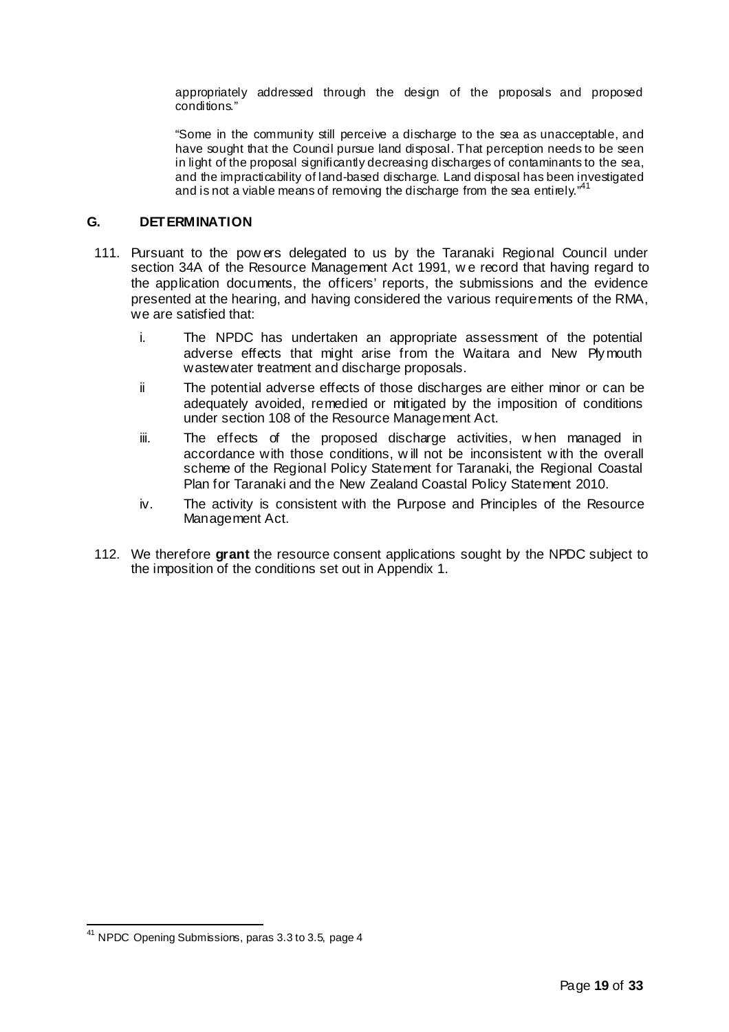appropriately addressed through the design of the proposals and proposed conditions."

"Some in the community still perceive a discharge to the sea as unacceptable, and have sought that the Council pursue land disposal. That perception needs to be seen in light of the proposal significantly decreasing discharges of contaminants to the sea, and the impracticability of land-based discharge. Land disposal has been investigated and is not a viable means of removing the discharge from the sea entirely."<sup>4</sup>

# **G. DETERMINATION**

- 111. Pursuant to the pow ers delegated to us by the Taranaki Regional Council under section 34A of the Resource Management Act 1991, w e record that having regard to the application documents, the officers' reports, the submissions and the evidence presented at the hearing, and having considered the various requirements of the RMA, we are satisfied that:
	- i. The NPDC has undertaken an appropriate assessment of the potential adverse effects that might arise from the Waitara and New Plymouth wastewater treatment and discharge proposals.
	- ii The potential adverse effects of those discharges are either minor or can be adequately avoided, remedied or mitigated by the imposition of conditions under section 108 of the Resource Management Act.
	- iii. The effects of the proposed discharge activities, w hen managed in accordance with those conditions, w ill not be inconsistent w ith the overall scheme of the Regional Policy Statement for Taranaki, the Regional Coastal Plan for Taranaki and the New Zealand Coastal Policy Statement 2010.
	- iv. The activity is consistent with the Purpose and Principles of the Resource Management Act.
- 112. We therefore **grant** the resource consent applications sought by the NPDC subject to the imposition of the conditions set out in Appendix 1.

<sup>41</sup> NPDC Opening Submissions, paras 3.3 to 3.5, page 4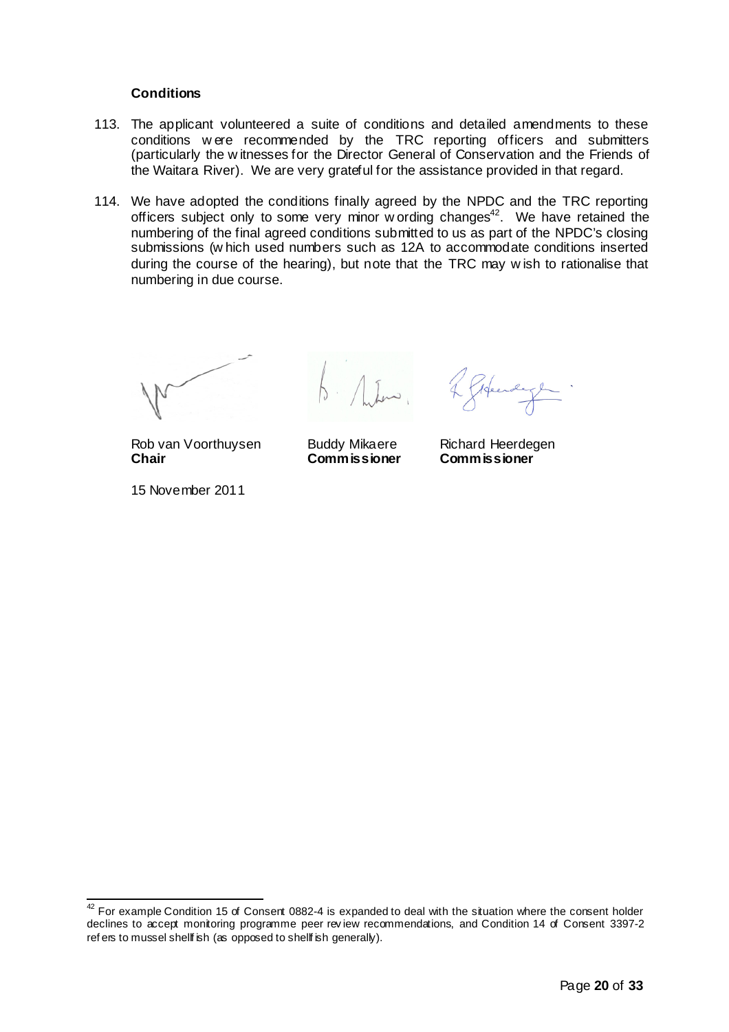## **Conditions**

- 113. The applicant volunteered a suite of conditions and detailed amendments to these conditions w ere recommended by the TRC reporting officers and submitters (particularly the w itnesses for the Director General of Conservation and the Friends of the Waitara River). We are very grateful for the assistance provided in that regard.
- 114. We have adopted the conditions finally agreed by the NPDC and the TRC reporting officers subject only to some very minor w ording changes $42$ . We have retained the numbering of the final agreed conditions submitted to us as part of the NPDC's closing submissions (w hich used numbers such as 12A to accommodate conditions inserted during the course of the hearing), but note that the TRC may w ish to rationalise that numbering in due course.

 $\ln$ 

Rob van Voorthuysen Buddy Mikaere Richard Heerdegen **Chair Commissioner Commissioner**

15 November 2011

Gifeerdage

 $42$  For example Condition 15 of Consent 0882-4 is expanded to deal with the situation where the consent holder declines to accept monitoring programme peer rev iew recommendations, and Condition 14 of Consent 3397-2 ref ers to mussel shellf ish (as opposed to shellf ish generally).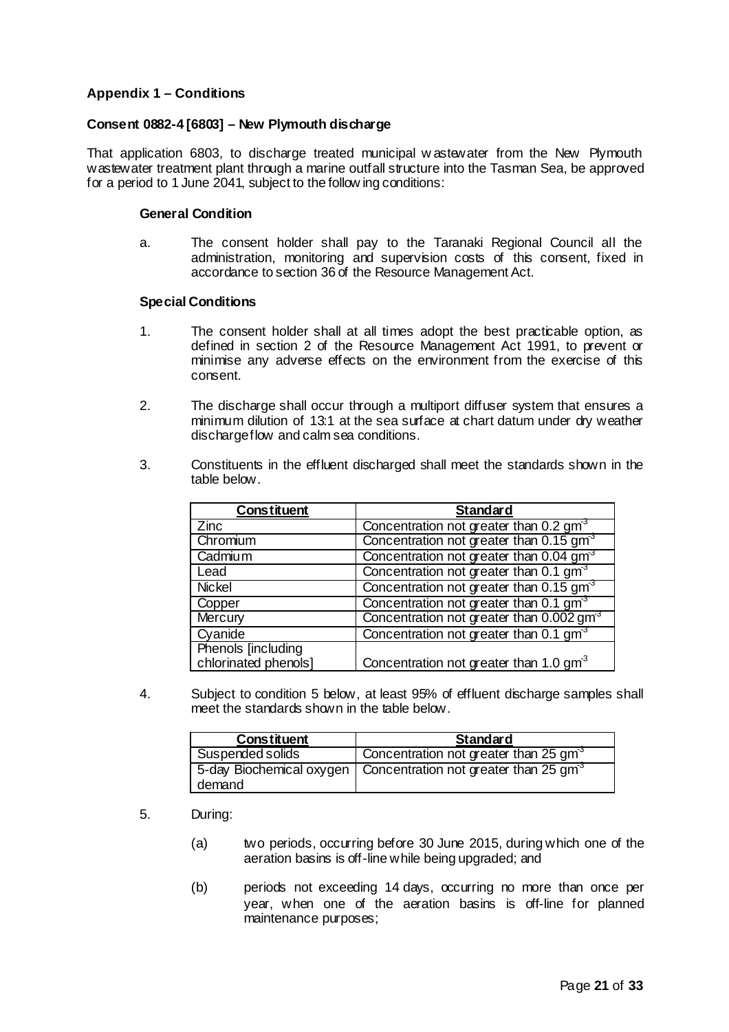# **Appendix 1 – Conditions**

## **Consent 0882-4 [6803] – New Plymouth discharge**

That application 6803, to discharge treated municipal w astewater from the New Plymouth wastewater treatment plant through a marine outfall structure into the Tasman Sea, be approved for a period to 1 June 2041, subject to the follow ing conditions:

#### **General Condition**

a. The consent holder shall pay to the Taranaki Regional Council all the administration, monitoring and supervision costs of this consent, fixed in accordance to section 36 of the Resource Management Act.

#### **Special Conditions**

- 1. The consent holder shall at all times adopt the best practicable option, as defined in section 2 of the Resource Management Act 1991, to prevent or minimise any adverse effects on the environment from the exercise of this consent.
- 2. The discharge shall occur through a multiport diffuser system that ensures a minimum dilution of 13:1 at the sea surface at chart datum under dry weather dischargeflow and calm sea conditions.
- 3. Constituents in the effluent discharged shall meet the standards shown in the table below.

| Constituent          | <b>Standard</b>                                      |
|----------------------|------------------------------------------------------|
| Zinc                 | Concentration not greater than 0.2 gm <sup>3</sup>   |
| Chromium             | Concentration not greater than 0.15 gm <sup>3</sup>  |
| Cadmium              | Concentration not greater than 0.04 gm <sup>3</sup>  |
| Lead                 | Concentration not greater than 0.1 gm <sup>3</sup>   |
| <b>Nickel</b>        | Concentration not greater than 0.15 gm <sup>3</sup>  |
| Copper               | Concentration not greater than $0.1 \text{ gm}^3$    |
| Mercury              | Concentration not greater than 0.002 gm <sup>3</sup> |
| Cyanide              | Concentration not greater than 0.1 gm <sup>3</sup>   |
| Phenols [including]  |                                                      |
| chlorinated phenols] | Concentration not greater than 1.0 $\text{gm}^3$     |

4. Subject to condition 5 below, at least 95% of effluent discharge samples shall meet the standards shown in the table below.

| Constituent      | Standard                                                                     |
|------------------|------------------------------------------------------------------------------|
| Suspended solids | Concentration not greater than 25 gm <sup>3</sup>                            |
| demand           | 5-day Biochemical oxygen   Concentration not greater than 25 gm <sup>3</sup> |

- 5. During:
	- (a) two periods, occurring before 30 June 2015, during which one of the aeration basins is off-line while being upgraded; and
	- (b) periods not exceeding 14 days, occurring no more than once per year, when one of the aeration basins is off-line for planned maintenance purposes;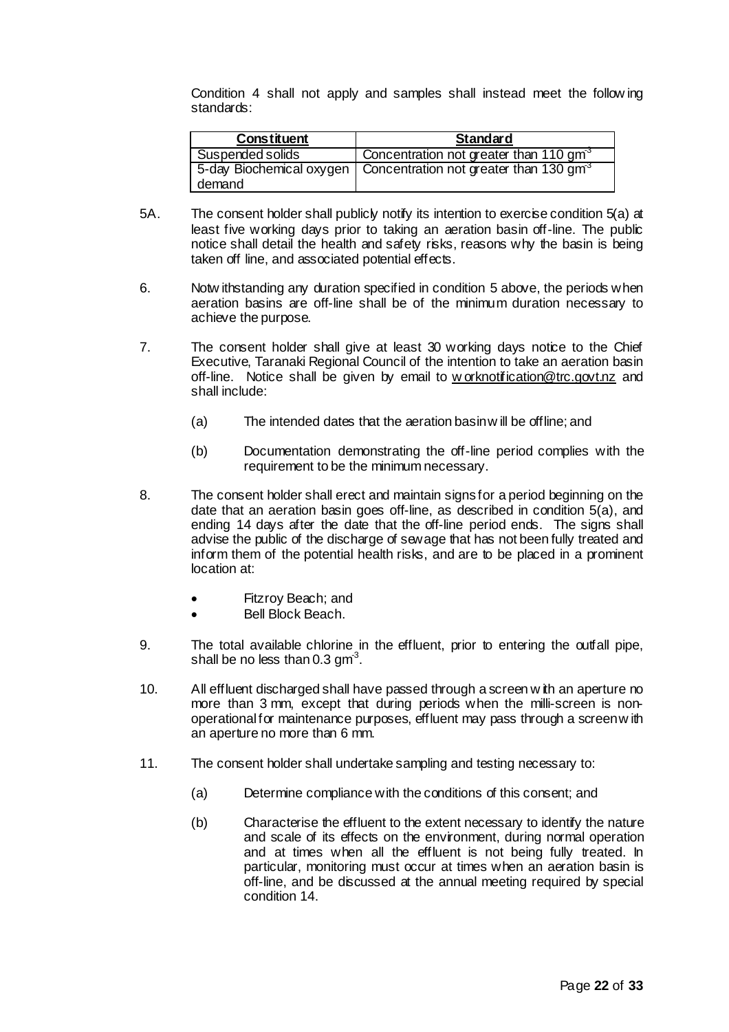Condition 4 shall not apply and samples shall instead meet the follow ing standards:

| Constituent      | Standard                                                                      |
|------------------|-------------------------------------------------------------------------------|
| Suspended solids | Concentration not greater than 110 gm <sup>3</sup>                            |
|                  | 5-day Biochemical oxygen   Concentration not greater than 130 gm <sup>3</sup> |
| demand           |                                                                               |

- 5A. The consent holder shall publicly notify its intention to exercise condition 5(a) at least five working days prior to taking an aeration basin off-line. The public notice shall detail the health and safety risks, reasons why the basin is being taken off line, and associated potential effects.
- 6. Notw ithstanding any duration specified in condition 5 above, the periods when aeration basins are off-line shall be of the minimum duration necessary to achieve the purpose.
- 7. The consent holder shall give at least 30 working days notice to the Chief Executive, Taranaki Regional Council of the intention to take an aeration basin off-line. Notice shall be given by email to w orknotification@trc.govt.nz and shall include:
	- (a) The intended dates that the aeration basinw ill be offline; and
	- (b) Documentation demonstrating the off-line period complies with the requirement to be the minimum necessary.
- 8. The consent holder shall erect and maintain signsfor a period beginning on the date that an aeration basin goes off-line, as described in condition 5(a), and ending 14 days after the date that the off-line period ends. The signs shall advise the public of the discharge of sewage that has not been fully treated and inform them of the potential health risks, and are to be placed in a prominent location at:
	- Fitzroy Beach; and
	- Bell Block Beach.
- 9. The total available chlorine in the effluent, prior to entering the outfall pipe, shall be no less than 0.3 gm $^3$ .
- 10. All effluent discharged shall have passed through a screen w ith an aperture no more than 3 mm, except that during periods when the milli-screen is nonoperational for maintenance purposes, effluent may pass through a screenw ith an aperture no more than 6 mm.
- 11. The consent holder shall undertake sampling and testing necessary to:
	- (a) Determine compliance with the conditions of this consent; and
	- (b) Characterise the effluent to the extent necessary to identify the nature and scale of its effects on the environment, during normal operation and at times when all the effluent is not being fully treated. In particular, monitoring must occur at times when an aeration basin is off-line, and be discussed at the annual meeting required by special condition 14.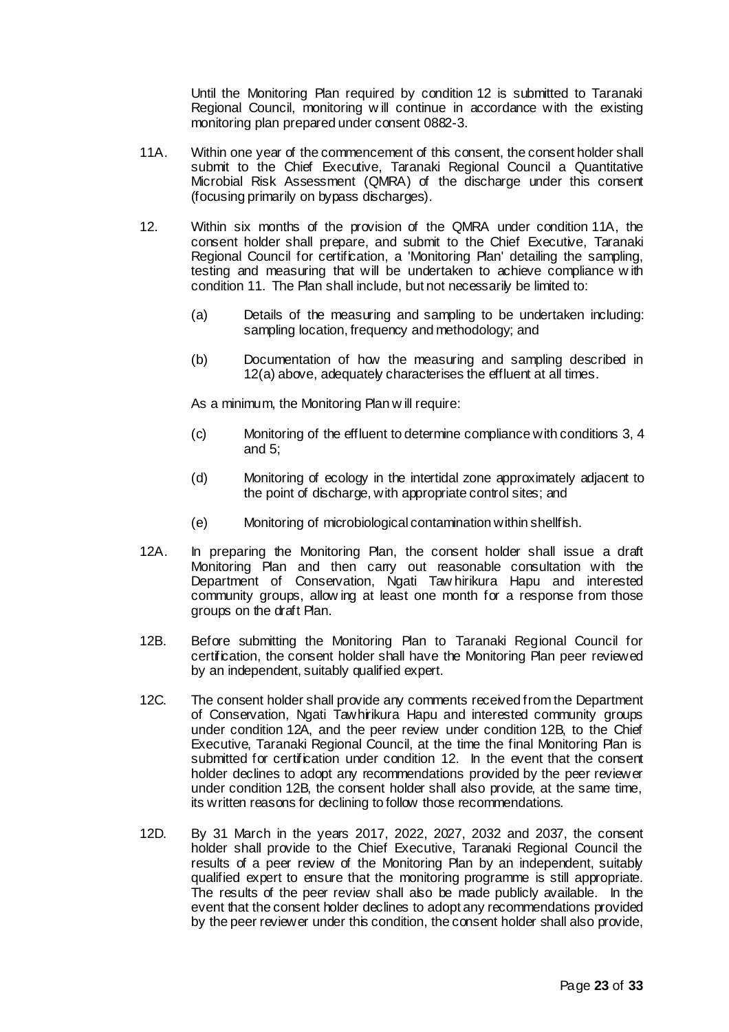Until the Monitoring Plan required by condition 12 is submitted to Taranaki Regional Council, monitoring w ill continue in accordance with the existing monitoring plan prepared under consent 0882-3.

- 11A. Within one year of the commencement of this consent, the consent holder shall submit to the Chief Executive, Taranaki Regional Council a Quantitative Microbial Risk Assessment (QMRA) of the discharge under this consent (focusing primarily on bypass discharges).
- 12. Within six months of the provision of the QMRA under condition 11A, the consent holder shall prepare, and submit to the Chief Executive, Taranaki Regional Council for certification, a 'Monitoring Plan' detailing the sampling, testing and measuring that will be undertaken to achieve compliance w ith condition 11. The Plan shall include, but not necessarily be limited to:
	- (a) Details of the measuring and sampling to be undertaken including: sampling location, frequency and methodology; and
	- (b) Documentation of how the measuring and sampling described in 12(a) above, adequately characterises the effluent at all times.

As a minimum, the Monitoring Plan w ill require:

- (c) Monitoring of the effluent to determine compliance with conditions 3, 4 and 5;
- (d) Monitoring of ecology in the intertidal zone approximately adjacent to the point of discharge, with appropriate control sites; and
- (e) Monitoring of microbiological contamination within shellfish.
- 12A. In preparing the Monitoring Plan, the consent holder shall issue a draft Monitoring Plan and then carry out reasonable consultation with the Department of Conservation, Ngati Taw hirikura Hapu and interested community groups, allow ing at least one month for a response from those groups on the draft Plan.
- 12B. Before submitting the Monitoring Plan to Taranaki Regional Council for certification, the consent holder shall have the Monitoring Plan peer reviewed by an independent, suitably qualified expert.
- 12C. The consent holder shall provide any comments received from the Department of Conservation, Ngati Tawhirikura Hapu and interested community groups under condition 12A, and the peer review under condition 12B, to the Chief Executive, Taranaki Regional Council, at the time the final Monitoring Plan is submitted for certification under condition 12. In the event that the consent holder declines to adopt any recommendations provided by the peer reviewer under condition 12B, the consent holder shall also provide, at the same time, its written reasons for declining to follow those recommendations.
- 12D. By 31 March in the years 2017, 2022, 2027, 2032 and 2037, the consent holder shall provide to the Chief Executive, Taranaki Regional Council the results of a peer review of the Monitoring Plan by an independent, suitably qualified expert to ensure that the monitoring programme is still appropriate. The results of the peer review shall also be made publicly available. In the event that the consent holder declines to adopt any recommendations provided by the peer reviewer under this condition, the consent holder shall also provide,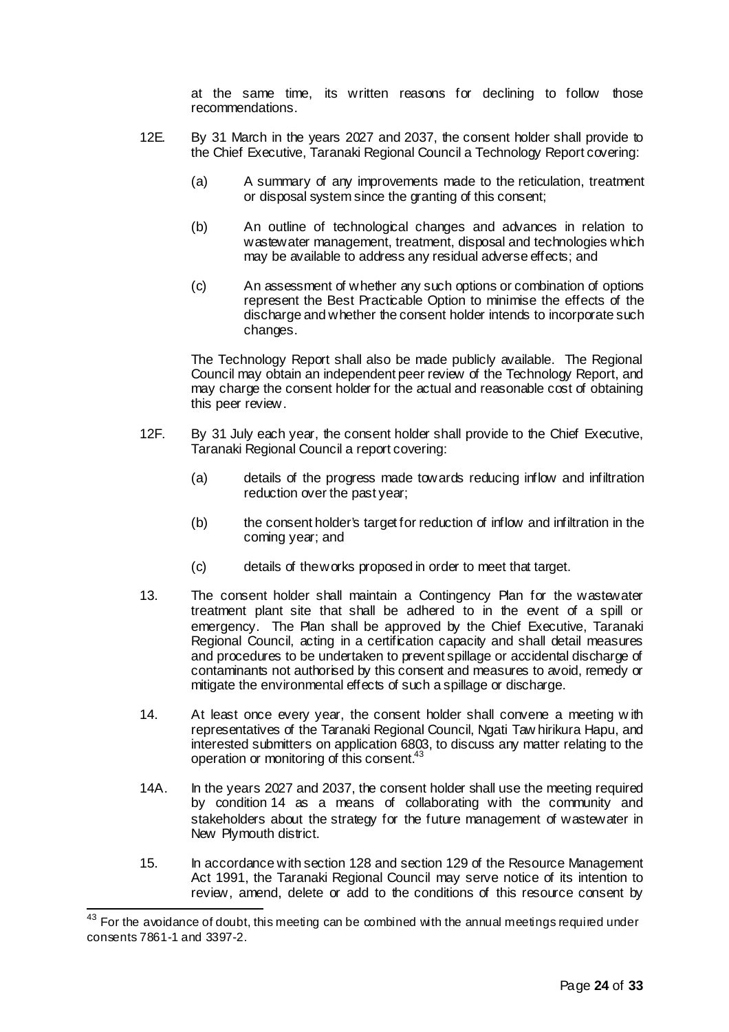at the same time, its written reasons for declining to follow those recommendations.

- 12E. By 31 March in the years 2027 and 2037, the consent holder shall provide to the Chief Executive, Taranaki Regional Council a Technology Report covering:
	- (a) A summary of any improvements made to the reticulation, treatment or disposal system since the granting of this consent;
	- (b) An outline of technological changes and advances in relation to wastewater management, treatment, disposal and technologies which may be available to address any residual adverse effects; and
	- (c) An assessment of whether any such options or combination of options represent the Best Practicable Option to minimise the effects of the discharge and whether the consent holder intends to incorporate such changes.

The Technology Report shall also be made publicly available. The Regional Council may obtain an independent peer review of the Technology Report, and may charge the consent holder for the actual and reasonable cost of obtaining this peer review.

- 12F. By 31 July each year, the consent holder shall provide to the Chief Executive, Taranaki Regional Council a report covering:
	- (a) details of the progress made towards reducing inflow and infiltration reduction over the past year;
	- (b) the consent holder's target for reduction of inflow and infiltration in the coming year; and
	- (c) details of theworks proposed in order to meet that target.
- 13. The consent holder shall maintain a Contingency Plan for the wastewater treatment plant site that shall be adhered to in the event of a spill or emergency. The Plan shall be approved by the Chief Executive, Taranaki Regional Council, acting in a certification capacity and shall detail measures and procedures to be undertaken to prevent spillage or accidental discharge of contaminants not authorised by this consent and measures to avoid, remedy or mitigate the environmental effects of such a spillage or discharge.
- 14. At least once every year, the consent holder shall convene a meeting w ith representatives of the Taranaki Regional Council, Ngati Taw hirikura Hapu, and interested submitters on application 6803, to discuss any matter relating to the operation or monitoring of this consent.<sup>43</sup>
- 14A. In the years 2027 and 2037, the consent holder shall use the meeting required by condition 14 as a means of collaborating with the community and stakeholders about the strategy for the future management of wastewater in New Plymouth district.
- 15. In accordance with section 128 and section 129 of the Resource Management Act 1991, the Taranaki Regional Council may serve notice of its intention to review, amend, delete or add to the conditions of this resource consent by

 $43$  For the avoidance of doubt, this meeting can be combined with the annual meetings required under consents 7861-1 and 3397-2.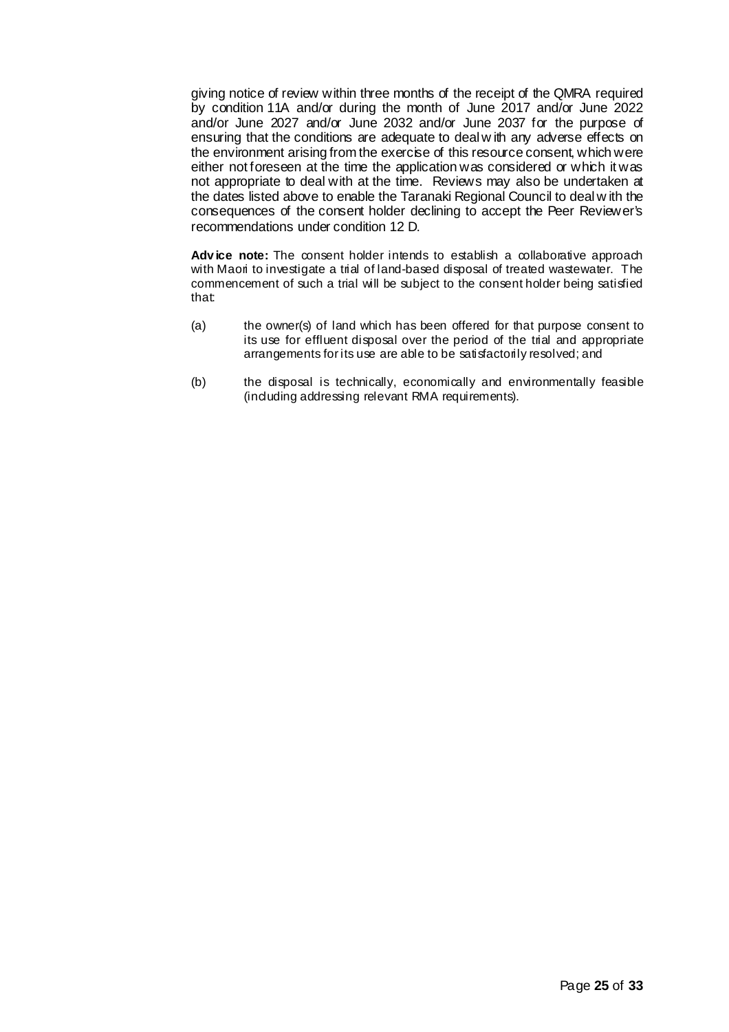giving notice of review within three months of the receipt of the QMRA required by condition 11A and/or during the month of June 2017 and/or June 2022 and/or June 2027 and/or June 2032 and/or June 2037 for the purpose of ensuring that the conditions are adequate to deal w ith any adverse effects on the environment arising from the exercise of this resource consent, which were either not foreseen at the time the application was considered or which it was not appropriate to deal with at the time. Reviews may also be undertaken at the dates listed above to enable the Taranaki Regional Council to deal w ith the consequences of the consent holder declining to accept the Peer Reviewer's recommendations under condition 12 D.

Advice note: The consent holder intends to establish a collaborative approach with Maori to investigate a trial of land-based disposal of treated wastewater. The commencement of such a trial will be subject to the consent holder being satisfied that:

- (a) the owner(s) of land which has been offered for that purpose consent to its use for effluent disposal over the period of the trial and appropriate arrangements for its use are able to be satisfactorily resolved; and
- (b) the disposal is technically, economically and environmentally feasible (including addressing relevant RMA requirements).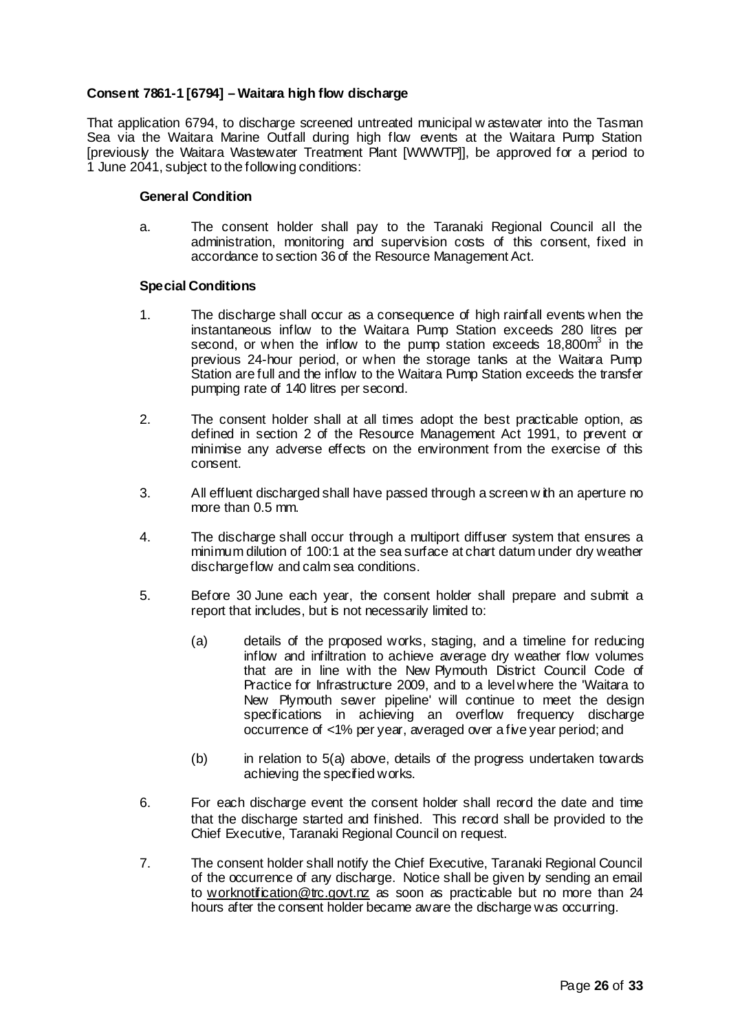# **Consent 7861-1 [6794] – Waitara high flow discharge**

That application 6794, to discharge screened untreated municipal w astewater into the Tasman Sea via the Waitara Marine Outfall during high flow events at the Waitara Pump Station [previously the Waitara Wastewater Treatment Plant [WWWTP]], be approved for a period to 1 June 2041, subject to the following conditions:

## **General Condition**

a. The consent holder shall pay to the Taranaki Regional Council all the administration, monitoring and supervision costs of this consent, fixed in accordance to section 36 of the Resource Management Act.

## **Special Conditions**

- 1. The discharge shall occur as a consequence of high rainfall events when the instantaneous inflow to the Waitara Pump Station exceeds 280 litres per second, or when the inflow to the pump station exceeds 18,800m<sup>3</sup> in the previous 24-hour period, or when the storage tanks at the Waitara Pump Station are full and the inflow to the Waitara Pump Station exceeds the transfer pumping rate of 140 litres per second.
- 2. The consent holder shall at all times adopt the best practicable option, as defined in section 2 of the Resource Management Act 1991, to prevent or minimise any adverse effects on the environment from the exercise of this consent.
- 3. All effluent discharged shall have passed through a screen w ith an aperture no more than 0.5 mm.
- 4. The discharge shall occur through a multiport diffuser system that ensures a minimum dilution of 100:1 at the sea surface at chart datum under dry weather dischargeflow and calm sea conditions.
- 5. Before 30 June each year, the consent holder shall prepare and submit a report that includes, but is not necessarily limited to:
	- (a) details of the proposed works, staging, and a timeline for reducing inflow and infiltration to achieve average dry weather flow volumes that are in line with the New Plymouth District Council Code of Practice for Infrastructure 2009, and to a level where the 'Waitara to New Plymouth sewer pipeline' will continue to meet the design specifications in achieving an overflow frequency discharge occurrence of <1% per year, averaged over a five year period; and
	- (b) in relation to 5(a) above, details of the progress undertaken towards achieving the specified works.
- 6. For each discharge event the consent holder shall record the date and time that the discharge started and finished. This record shall be provided to the Chief Executive, Taranaki Regional Council on request.
- 7. The consent holder shall notify the Chief Executive, Taranaki Regional Council of the occurrence of any discharge. Notice shall be given by sending an email to worknotification@trc.govt.nz as soon as practicable but no more than 24 hours after the consent holder became aware the discharge was occurring.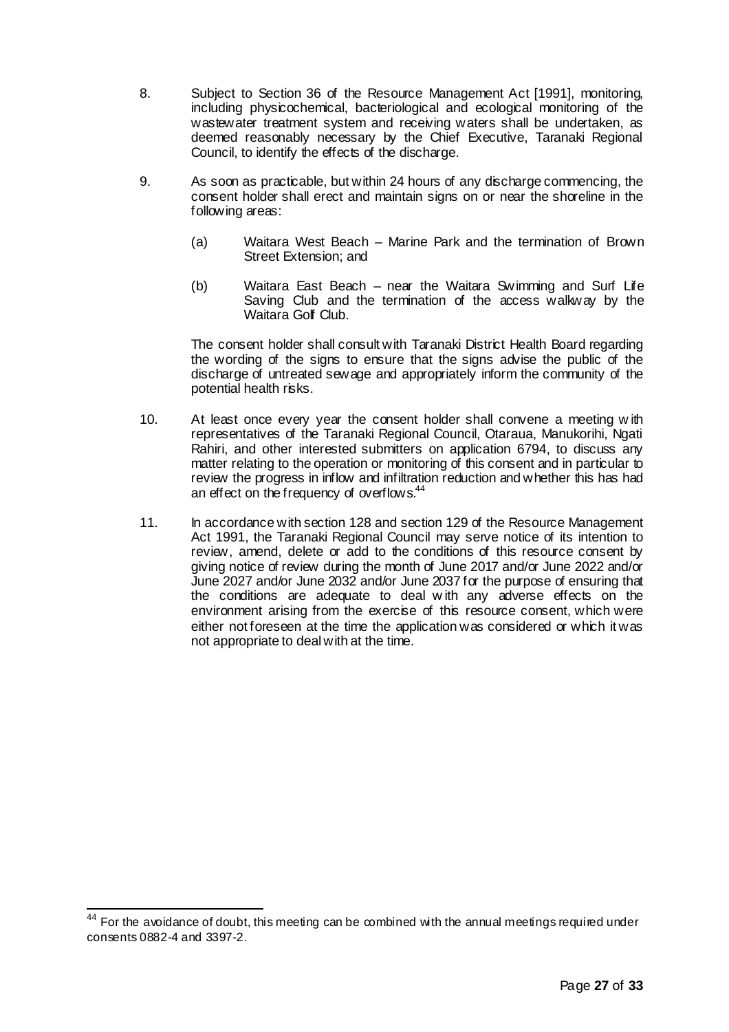- 8. Subject to Section 36 of the Resource Management Act [1991], monitoring, including physicochemical, bacteriological and ecological monitoring of the wastewater treatment system and receiving waters shall be undertaken, as deemed reasonably necessary by the Chief Executive, Taranaki Regional Council, to identify the effects of the discharge.
- 9. As soon as practicable, but within 24 hours of any discharge commencing, the consent holder shall erect and maintain signs on or near the shoreline in the following areas:
	- (a) Waitara West Beach Marine Park and the termination of Brown Street Extension; and
	- (b) Waitara East Beach near the Waitara Swimming and Surf Life Saving Club and the termination of the access walkway by the Waitara Golf Club.

The consent holder shall consult with Taranaki District Health Board regarding the wording of the signs to ensure that the signs advise the public of the discharge of untreated sewage and appropriately inform the community of the potential health risks.

- 10. At least once every year the consent holder shall convene a meeting w ith representatives of the Taranaki Regional Council, Otaraua, Manukorihi, Ngati Rahiri, and other interested submitters on application 6794, to discuss any matter relating to the operation or monitoring of this consent and in particular to review the progress in inflow and infiltration reduction and whether this has had an effect on the frequency of overflows.<sup>44</sup>
- 11. In accordance with section 128 and section 129 of the Resource Management Act 1991, the Taranaki Regional Council may serve notice of its intention to review, amend, delete or add to the conditions of this resource consent by giving notice of review during the month of June 2017 and/or June 2022 and/or June 2027 and/or June 2032 and/or June 2037 for the purpose of ensuring that the conditions are adequate to deal w ith any adverse effects on the environment arising from the exercise of this resource consent, which were either not foreseen at the time the application was considered or which it was not appropriate to deal with at the time.

 $44$  For the avoidance of doubt, this meeting can be combined with the annual meetings required under consents 0882-4 and 3397-2.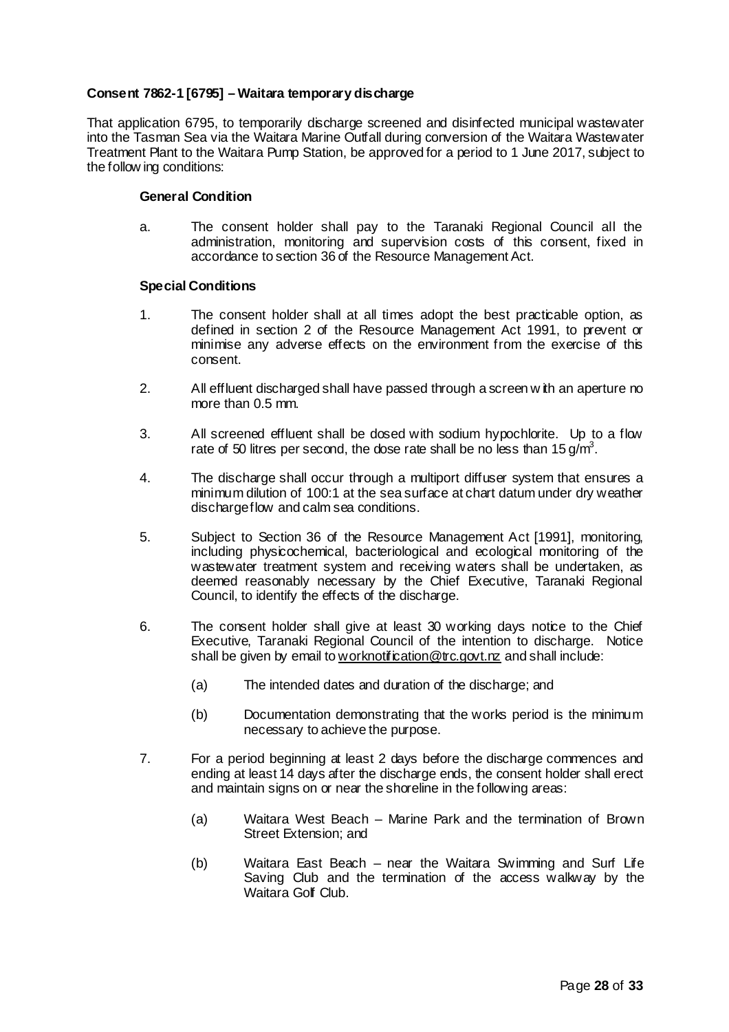## **Consent 7862-1 [6795] – Waitara temporary discharge**

That application 6795, to temporarily discharge screened and disinfected municipal wastewater into the Tasman Sea via the Waitara Marine Outfall during conversion of the Waitara Wastewater Treatment Plant to the Waitara Pump Station, be approved for a period to 1 June 2017, subject to the follow ing conditions:

#### **General Condition**

a. The consent holder shall pay to the Taranaki Regional Council all the administration, monitoring and supervision costs of this consent, fixed in accordance to section 36 of the Resource Management Act.

#### **Special Conditions**

- 1. The consent holder shall at all times adopt the best practicable option, as defined in section 2 of the Resource Management Act 1991, to prevent or minimise any adverse effects on the environment from the exercise of this consent.
- 2. All effluent discharged shall have passed through a screen w ith an aperture no more than 0.5 mm.
- 3. All screened effluent shall be dosed with sodium hypochlorite. Up to a flow rate of 50 litres per second, the dose rate shall be no less than 15 g/m<sup>3</sup>.
- 4. The discharge shall occur through a multiport diffuser system that ensures a minimum dilution of 100:1 at the sea surface at chart datum under dry weather dischargeflow and calm sea conditions.
- 5. Subject to Section 36 of the Resource Management Act [1991], monitoring, including physicochemical, bacteriological and ecological monitoring of the wastewater treatment system and receiving waters shall be undertaken, as deemed reasonably necessary by the Chief Executive, Taranaki Regional Council, to identify the effects of the discharge.
- 6. The consent holder shall give at least 30 working days notice to the Chief Executive, Taranaki Regional Council of the intention to discharge. Notice shall be given by email to worknotification@trc.govt.nz and shall include:
	- (a) The intended dates and duration of the discharge; and
	- (b) Documentation demonstrating that the works period is the minimum necessary to achieve the purpose.
- 7. For a period beginning at least 2 days before the discharge commences and ending at least 14 days after the discharge ends, the consent holder shall erect and maintain signs on or near the shoreline in the following areas:
	- (a) Waitara West Beach Marine Park and the termination of Brown Street Extension; and
	- (b) Waitara East Beach near the Waitara Swimming and Surf Life Saving Club and the termination of the access walkway by the Waitara Golf Club.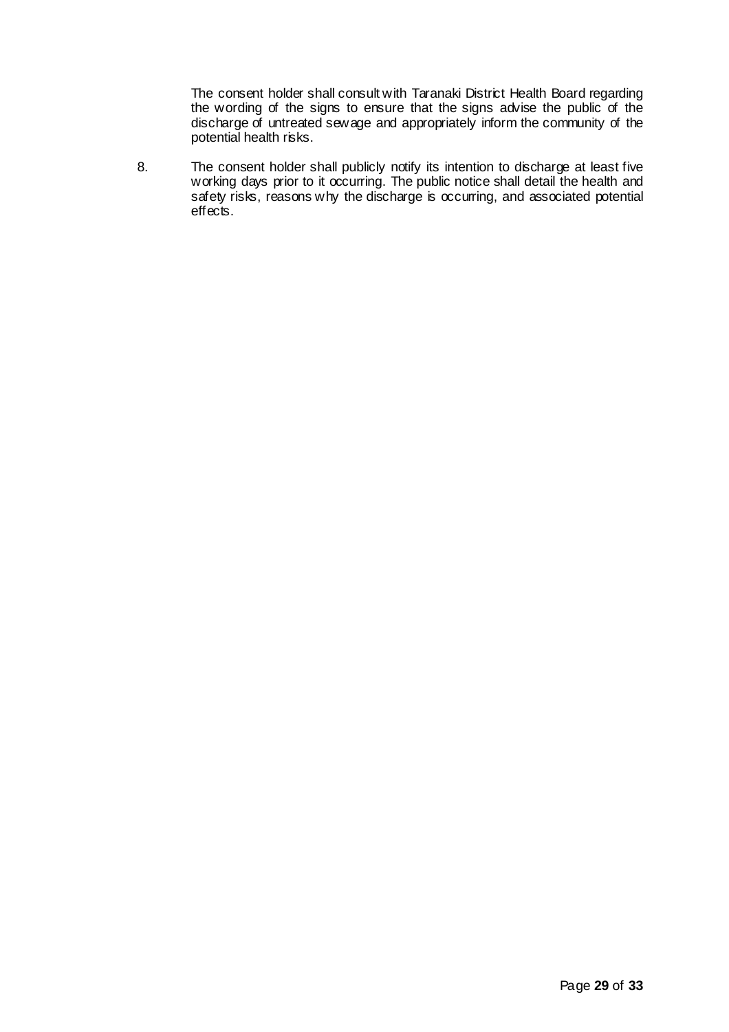The consent holder shall consult with Taranaki District Health Board regarding the wording of the signs to ensure that the signs advise the public of the discharge of untreated sewage and appropriately inform the community of the potential health risks.

8. The consent holder shall publicly notify its intention to discharge at least five working days prior to it occurring. The public notice shall detail the health and safety risks, reasons why the discharge is occurring, and associated potential effects.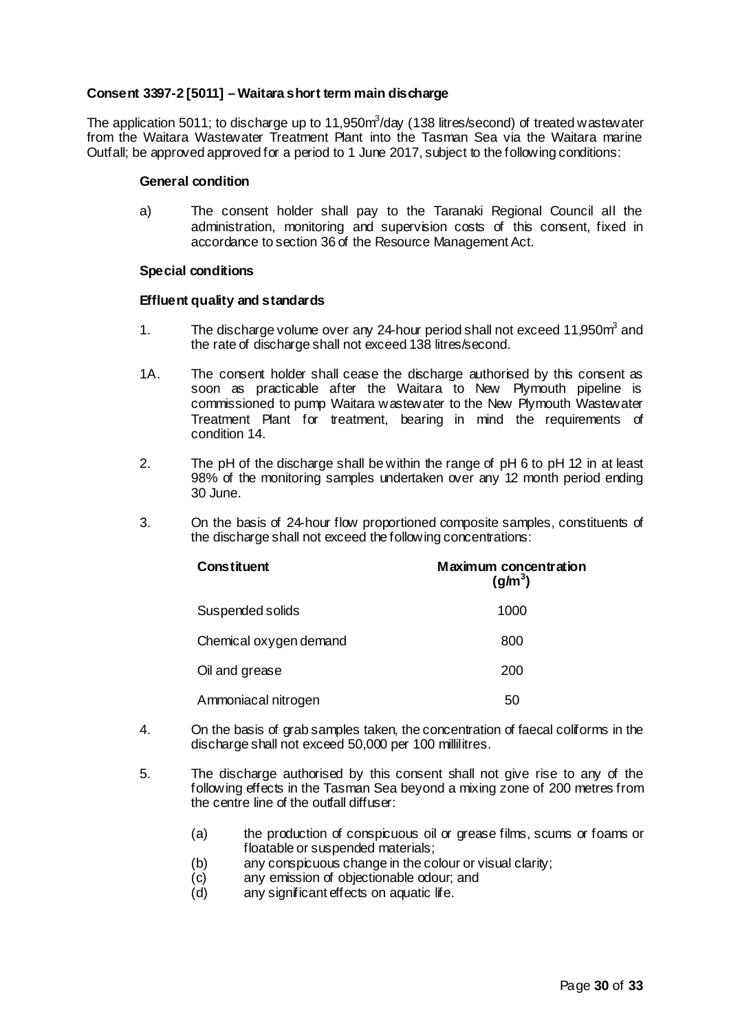# **Consent 3397-2 [5011] – Waitara short term main discharge**

The application 5011; to discharge up to 11,950 $m^3$ /day (138 litres/second) of treated wastewater from the Waitara Wastewater Treatment Plant into the Tasman Sea via the Waitara marine Outfall; be approved approved for a period to 1 June 2017, subject to the following conditions:

#### **General condition**

a) The consent holder shall pay to the Taranaki Regional Council all the administration, monitoring and supervision costs of this consent, fixed in accordance to section 36 of the Resource Management Act.

#### **Special conditions**

## **Effluent quality and standards**

- 1. The discharge volume over any 24-hour period shall not exceed 11,950m<sup>3</sup> and the rate of discharge shall not exceed 138 litres/second.
- 1A. The consent holder shall cease the discharge authorised by this consent as soon as practicable after the Waitara to New Plymouth pipeline is commissioned to pump Waitara wastewater to the New Plymouth Wastewater Treatment Plant for treatment, bearing in mind the requirements of condition 14.
- 2. The pH of the discharge shall be within the range of pH 6 to pH 12 in at least 98% of the monitoring samples undertaken over any 12 month period ending 30 June.
- 3. On the basis of 24-hour flow proportioned composite samples, constituents of the discharge shall not exceed the following concentrations:

| <b>Constituent</b>     | Maximum concentration<br>$\text{(q/m}^3)$ |
|------------------------|-------------------------------------------|
| Suspended solids       | 1000                                      |
| Chemical oxygen demand | 800                                       |
| Oil and grease         | 200                                       |
| Ammoniacal nitrogen    | 50                                        |

- 4. On the basis of grab samples taken, the concentration of faecal coliforms in the discharge shall not exceed 50,000 per 100 millilitres.
- 5. The discharge authorised by this consent shall not give rise to any of the following effects in the Tasman Sea beyond a mixing zone of 200 metres from the centre line of the outfall diffuser:
	- (a) the production of conspicuous oil or grease films, scums or foams or floatable or suspended materials;
	- (b) any conspicuous change in the colour or visual clarity;
	- (c) any emission of objectionable odour; and<br>(d) any significant effects on aquatic life.
	- any significant effects on aquatic life.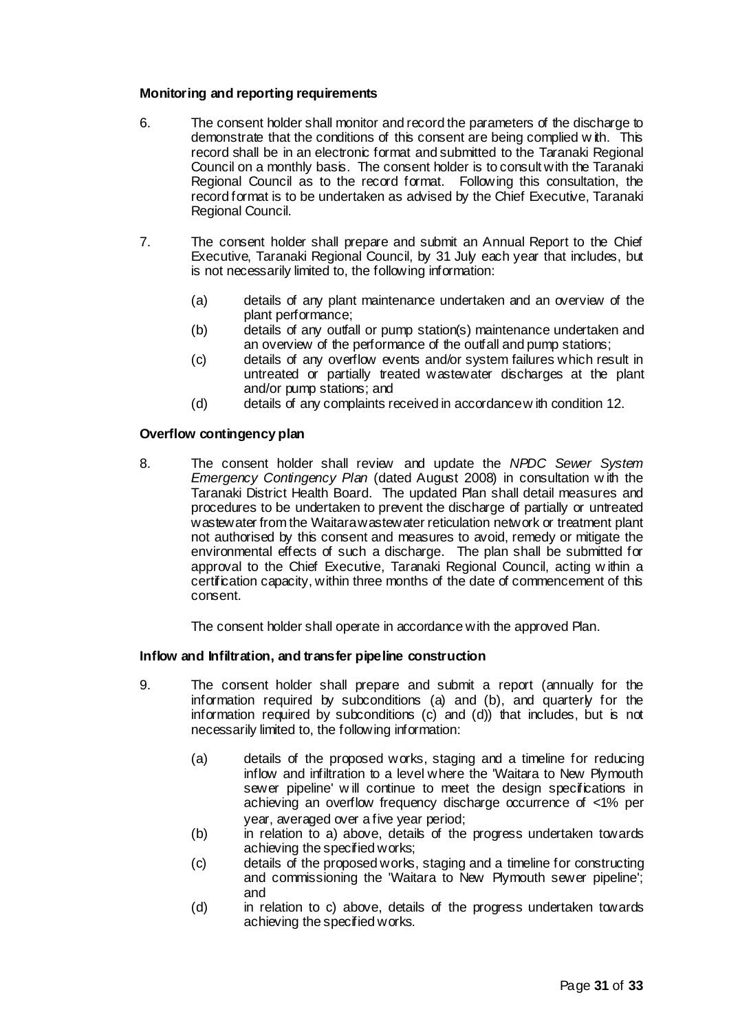# **Monitoring and reporting requirements**

- 6. The consent holder shall monitor and record the parameters of the discharge to demonstrate that the conditions of this consent are being complied w ith. This record shall be in an electronic format and submitted to the Taranaki Regional Council on a monthly basis. The consent holder is to consult with the Taranaki Regional Council as to the record format. Following this consultation, the record format is to be undertaken as advised by the Chief Executive, Taranaki Regional Council.
- 7. The consent holder shall prepare and submit an Annual Report to the Chief Executive, Taranaki Regional Council, by 31 July each year that includes, but is not necessarily limited to, the following information:
	- (a) details of any plant maintenance undertaken and an overview of the plant performance;
	- (b) details of any outfall or pump station(s) maintenance undertaken and an overview of the performance of the outfall and pump stations;
	- (c) details of any overflow events and/or system failures which result in untreated or partially treated wastewater discharges at the plant and/or pump stations; and
	- (d) details of any complaints received in accordancew ith condition 12.

# **Overflow contingency plan**

8. The consent holder shall review and update the *NPDC Sewer System Emergency Contingency Plan* (dated August 2008) in consultation w ith the Taranaki District Health Board. The updated Plan shall detail measures and procedures to be undertaken to prevent the discharge of partially or untreated wastewater from the Waitarawastewater reticulation network or treatment plant not authorised by this consent and measures to avoid, remedy or mitigate the environmental effects of such a discharge. The plan shall be submitted for approval to the Chief Executive, Taranaki Regional Council, acting w ithin a certification capacity, within three months of the date of commencement of this consent.

The consent holder shall operate in accordance with the approved Plan.

## **Inflow and Infiltration, and transfer pipeline construction**

- 9. The consent holder shall prepare and submit a report (annually for the information required by subconditions (a) and (b), and quarterly for the information required by subconditions (c) and (d)) that includes, but is not necessarily limited to, the following information:
	- (a) details of the proposed works, staging and a timeline for reducing inflow and infiltration to a level where the 'Waitara to New Plymouth sewer pipeline' will continue to meet the design specifications in achieving an overflow frequency discharge occurrence of <1% per year, averaged over a five year period;
	- (b) in relation to a) above, details of the progress undertaken towards achieving the specified works:
	- (c) details of the proposed works, staging and a timeline for constructing and commissioning the 'Waitara to New Plymouth sewer pipeline'; and
	- (d) in relation to c) above, details of the progress undertaken towards achieving the specified works.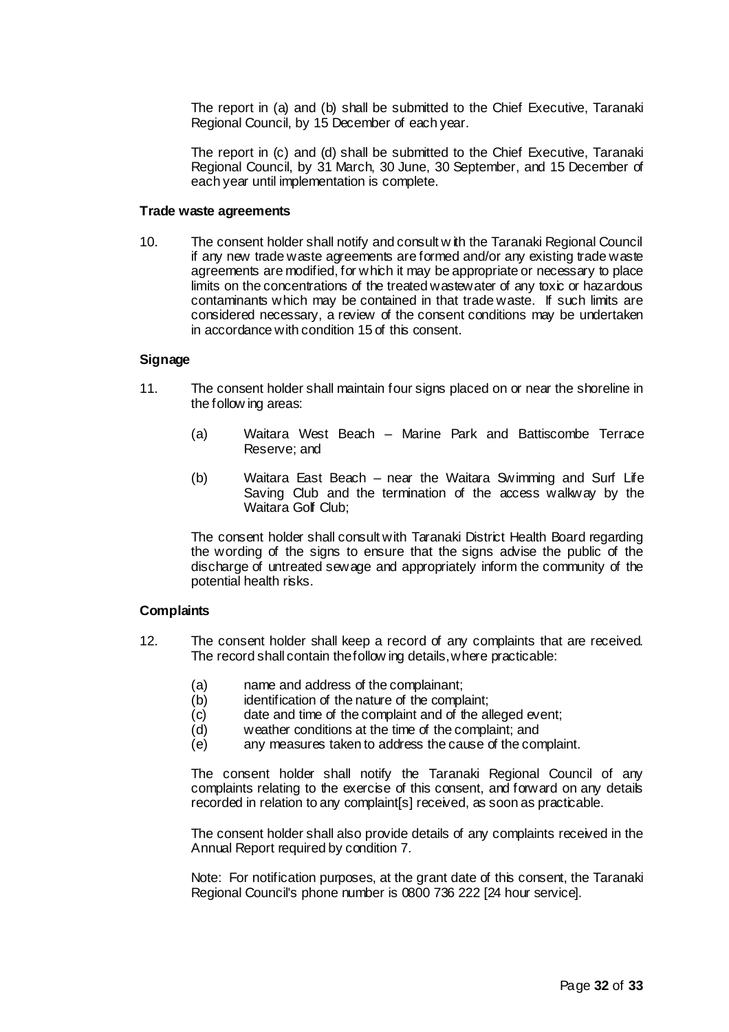The report in (a) and (b) shall be submitted to the Chief Executive, Taranaki Regional Council, by 15 December of each year.

The report in (c) and (d) shall be submitted to the Chief Executive, Taranaki Regional Council, by 31 March, 30 June, 30 September, and 15 December of each year until implementation is complete.

#### **Trade waste agreements**

10. The consent holder shall notify and consult w ith the Taranaki Regional Council if any new trade waste agreements are formed and/or any existing trade waste agreements are modified, for which it may be appropriate or necessary to place limits on the concentrations of the treated wastewater of any toxic or hazardous contaminants which may be contained in that trade waste. If such limits are considered necessary, a review of the consent conditions may be undertaken in accordance with condition 15 of this consent.

## **Signage**

- 11. The consent holder shall maintain four signs placed on or near the shoreline in the follow ing areas:
	- (a) Waitara West Beach Marine Park and Battiscombe Terrace Reserve; and
	- (b) Waitara East Beach near the Waitara Swimming and Surf Life Saving Club and the termination of the access walkway by the Waitara Golf Club:

The consent holder shall consult with Taranaki District Health Board regarding the wording of the signs to ensure that the signs advise the public of the discharge of untreated sewage and appropriately inform the community of the potential health risks.

## **Complaints**

- 12. The consent holder shall keep a record of any complaints that are received. The record shall contain thefollow ing details,where practicable:
	- (a) name and address of the complainant;
	- (b) identification of the nature of the complaint;
	- (c) date and time of the complaint and of the alleged event;
	- (d) weather conditions at the time of the complaint; and
	- (e) any measures taken to address the cause of the complaint.

The consent holder shall notify the Taranaki Regional Council of any complaints relating to the exercise of this consent, and forward on any details recorded in relation to any complaint[s] received, as soon as practicable.

The consent holder shall also provide details of any complaints received in the Annual Report required by condition 7.

Note: For notification purposes, at the grant date of this consent, the Taranaki Regional Council's phone number is 0800 736 222 [24 hour service].